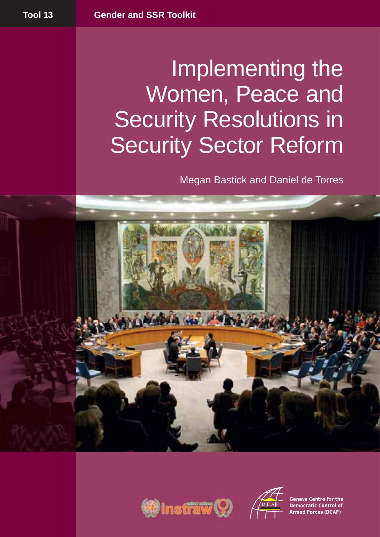# Implementing the Women, Peace and Security Resolutions in Security Sector Reform

Megan Bastick and Daniel de Torres







**Geneva Centre for the Democratic Control of Armed Forces (DCAF)**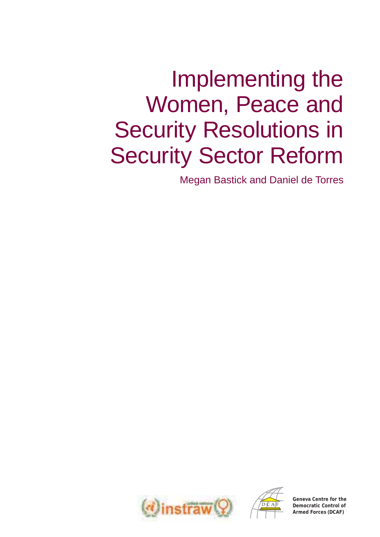# Implementing the Women, Peace and Security Resolutions in Security Sector Reform

Megan Bastick and Daniel de Torres





**Geneva Centre for the Democratic Control of Armed Forces (DCAF)**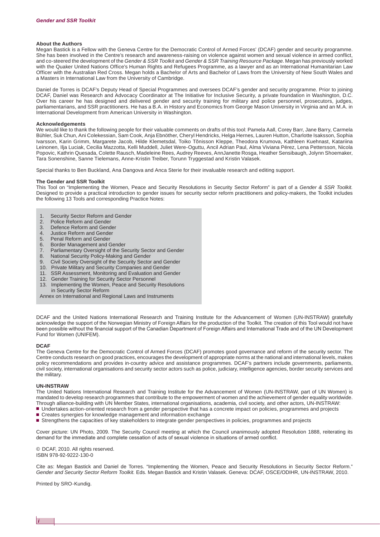#### **About the Authors**

Megan Bastick is a Fellow with the Geneva Centre for the Democratic Control of Armed Forces' (DCAF) gender and security programme. She has been involved in the Centre's research and awareness-raising on violence against women and sexual violence in armed conflict, and co-steered the development of the *Gender & SSR Toolkit* and *Gender & SSR Training Resource Package*. Megan has previously worked with the Quaker United Nations Office's Human Rights and Refugees Programme, as a lawyer and as an International Humanitarian Law Officer with the Australian Red Cross. Megan holds a Bachelor of Arts and Bachelor of Laws from the University of New South Wales and a Masters in International Law from the University of Cambridge.

Daniel de Torres is DCAF's Deputy Head of Special Programmes and oversees DCAF's gender and security programme. Prior to joining DCAF, Daniel was Research and Advocacy Coordinator at The Initiative for Inclusive Security, a private foundation in Washington, D.C. Over his career he has designed and delivered gender and security training for military and police personnel, prosecutors, judges, parliamentarians, and SSR practitioners. He has a B.A. in History and Economics from George Mason University in Virginia and an M.A. in International Development from American University in Washington.

#### **Acknowledgements**

We would like to thank the following people for their valuable comments on drafts of this tool: Pamela Aall, Corey Barr, Jane Barry, Carmela Bühler, Suk Chun, Ani Colekessian, Sam Cook, Anja Ebnöther, Cheryl Hendricks, Helga Hernes, Lauren Hutton, Charlotte Isaksson, Sophia Ivarsson, Karin Grimm, Margarete Jacob, Hilde Klemetsdal, Toiko Tõnisson Kleppe, Theodora Krumova, Kathleen Kuehnast, Katariina Leinonen, Ilja Luciak, Cecilia Mazzotta, Kelli Muddell, Juliet Were-Oguttu, Ancil Adrian Paul, Alma Viviana Pérez, Lena Pettersson, Nicola Popovic, Kathrin Quesada, Colette Rausch, Madeleine Rees, Audrey Reeves, AnnJanette Rosga, Heather Sensibaugh, Jolynn Shoemaker, Tara Sonenshine, Sanne Tielemans, Anne-Kristin Treiber, Torunn Tryggestad and Kristin Valasek.

Special thanks to Ben Buckland, Ana Dangova and Anca Sterie for their invaluable research and editing support.

#### **The Gender and SSR Toolkit**

This Tool on "Implementing the Women, Peace and Security Resolutions in Security Sector Reform" is part of a *[Gender & SSR Toolkit.](http://www.dcaf.ch/publications/kms/series_gssr-toolkit.cfm?nav1=5&nav2=6)* Designed to provide a practical introduction to gender issues for security sector reform practitioners and policy-makers, the Toolkit includes the following 13 Tools and corresponding Practice Notes:

- [Security Sector Reform and Gender](http://www.dcaf.ch/publications/kms/details.cfm?lng=en&id=47331&nav1=5)
- 2. [Police Reform and Gender](http://www.dcaf.ch/publications/kms/details.cfm?lng=en&id=47391&nav1=5)<br>3. Defence Reform and Genc
- [Defence Reform and Gender](http://www.dcaf.ch/publications/kms/details.cfm?lng=en&id=47394&nav1=5)
- 4. [Justice Reform and Gender](http://www.dcaf.ch/publications/kms/details.cfm?lng=en&id=47396&nav1=5)
- 5. [Penal Reform and Gender](http://www.dcaf.ch/publications/kms/details.cfm?lng=en&id=47399&nav1=5)
- 6. [Border Management and Gender](http://www.dcaf.ch/publications/kms/details.cfm?lng=en&id=47401&nav1=5)
- 7. [Parliamentary Oversight of the Security Sector and Gender](http://www.dcaf.ch/publications/kms/details.cfm?lng=en&id=47405&nav1=5)
- 8. [National Security Policy-Making and Gender](http://www.dcaf.ch/publications/kms/details.cfm?lng=en&id=47408&nav1=5)
- 9. [Civil Society Oversight of the Security Sector and Gender](http://www.dcaf.ch/publications/kms/details.cfm?lng=en&id=47411&nav1=5)
- 10. [Private Military and Security Companies and Gender](http://www.dcaf.ch/publications/kms/details.cfm?lng=en&id=47413&nav1=5)
- 11. [SSR Assessment, Monitoring and Evaluation and Gender](http://www.dcaf.ch/publications/kms/details.cfm?lng=en&id=47416&nav1=5)
- 12. [Gender Training for Security Sector Personnel](http://www.dcaf.ch/publications/kms/details.cfm?lng=en&id=47420&nav1=5)
- 13. Implementing the Women, Peace and Security Resolutions in Security Sector Reform

[Annex on International and Regional Laws and Instruments](http://www.dcaf.ch/publications/kms/details.cfm?lng=en&id=47486&nav1=5)

DCAF and the United Nations International Research and Training Institute for the Advancement of Women (UN-INSTRAW) gratefully acknowledge the support of the Norwegian Ministry of Foreign Affairs for the production of the Toolkit. The creation of this Tool would not have been possible without the financial support of the Canadian Department of Foreign Affairs and International Trade and of the UN Development Fund for Women (UNIFEM).

#### **DCAF**

The Geneva Centre for the Democratic Control of Armed Forces (DCAF) promotes good governance and reform of the security sector. The Centre conducts research on good practices, encourages the development of appropriate norms at the national and international levels, makes policy recommendations and provides in-country advice and assistance programmes. DCAF's partners include governments, parliaments, civil society, international organisations and security sector actors such as police, judiciary, intelligence agencies, border security services and the military.

#### **UN- INSTRAW**

The United Nations International Research and Training Institute for the Advancement of Women (UN-INSTRAW, part of UN Women) is mandated to develop research programmes that contribute to the empowerment of women and the achievement of gender equality worldwide. Through alliance-building with UN Member States, international organisations, academia, civil society, and other actors, UN-INSTRAW:

- Undertakes action-oriented research from a gender perspective that has a concrete impact on policies, programmes and projects
- Creates synergies for knowledge management and information exchange
- Strengthens the capacities of key stakeholders to integrate gender perspectives in policies, programmes and projects

Cover picture: UN Photo, 2009. The Security Council meeting at which the Council unanimously adopted Resolution 1888, reiterating its demand for the immediate and complete cessation of acts of sexual violence in situations of armed conflict.

© DCAF, 2010. All rights reserved. ISBN 978-92-9222-130-0

Cite as: Megan Bastick and Daniel de Torres. "Implementing the Women, Peace and Security Resolutions in Security Sector Reform." *Gender and Security Sector Reform Toolkit.* Eds. Megan Bastick and Kristin Valasek. Geneva: DCAF, OSCE/ODIHR, UN-INSTRAW, 2010.

Printed by SRO-Kundig.

*i*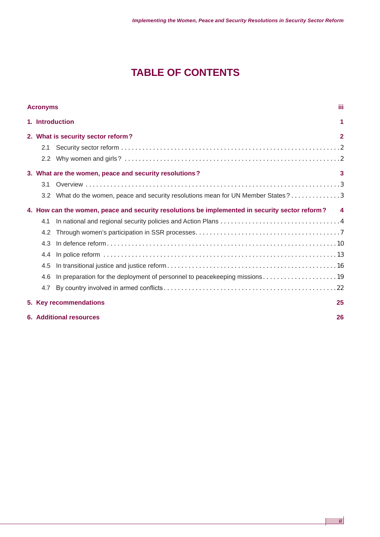# **TABLE OF CONTENTS**

| Ш<br><b>Acronyms</b> |                                                                                                  |                                                                                    |                |  |
|----------------------|--------------------------------------------------------------------------------------------------|------------------------------------------------------------------------------------|----------------|--|
|                      |                                                                                                  | 1. Introduction<br>1                                                               |                |  |
|                      | 2. What is security sector reform?                                                               |                                                                                    | $\overline{2}$ |  |
|                      | 2.1                                                                                              |                                                                                    |                |  |
|                      |                                                                                                  |                                                                                    |                |  |
|                      |                                                                                                  | 3. What are the women, peace and security resolutions?                             | 3              |  |
|                      | 3.1                                                                                              |                                                                                    |                |  |
|                      |                                                                                                  | 3.2 What do the women, peace and security resolutions mean for UN Member States? 3 |                |  |
|                      | 4. How can the women, peace and security resolutions be implemented in security sector reform? 4 |                                                                                    |                |  |
|                      | 4.1                                                                                              |                                                                                    |                |  |
|                      | 4.2                                                                                              |                                                                                    |                |  |
|                      | 4.3                                                                                              |                                                                                    |                |  |
|                      | 4.4                                                                                              |                                                                                    |                |  |
|                      | 4.5                                                                                              |                                                                                    |                |  |
|                      | 4.6                                                                                              |                                                                                    |                |  |
|                      | 4.7                                                                                              |                                                                                    |                |  |
|                      |                                                                                                  | 5. Key recommendations<br>25                                                       |                |  |
|                      | <b>6. Additional resources</b><br>26                                                             |                                                                                    |                |  |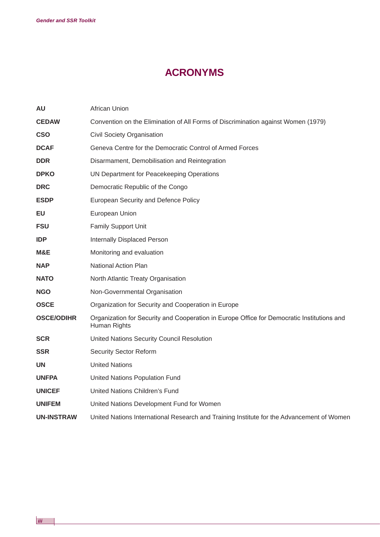# **ACRONYMS**

| <b>AU</b>         | <b>African Union</b>                                                                                       |
|-------------------|------------------------------------------------------------------------------------------------------------|
| <b>CEDAW</b>      | Convention on the Elimination of All Forms of Discrimination against Women (1979)                          |
| <b>CSO</b>        | Civil Society Organisation                                                                                 |
| <b>DCAF</b>       | Geneva Centre for the Democratic Control of Armed Forces                                                   |
| <b>DDR</b>        | Disarmament, Demobilisation and Reintegration                                                              |
| <b>DPKO</b>       | UN Department for Peacekeeping Operations                                                                  |
| <b>DRC</b>        | Democratic Republic of the Congo                                                                           |
| <b>ESDP</b>       | European Security and Defence Policy                                                                       |
| EU                | European Union                                                                                             |
| <b>FSU</b>        | <b>Family Support Unit</b>                                                                                 |
| <b>IDP</b>        | <b>Internally Displaced Person</b>                                                                         |
| M&E               | Monitoring and evaluation                                                                                  |
| <b>NAP</b>        | <b>National Action Plan</b>                                                                                |
| <b>NATO</b>       | North Atlantic Treaty Organisation                                                                         |
| <b>NGO</b>        | Non-Governmental Organisation                                                                              |
| <b>OSCE</b>       | Organization for Security and Cooperation in Europe                                                        |
| <b>OSCE/ODIHR</b> | Organization for Security and Cooperation in Europe Office for Democratic Institutions and<br>Human Rights |
| <b>SCR</b>        | United Nations Security Council Resolution                                                                 |
| <b>SSR</b>        | <b>Security Sector Reform</b>                                                                              |
| <b>UN</b>         | <b>United Nations</b>                                                                                      |
| <b>UNFPA</b>      | United Nations Population Fund                                                                             |
| <b>UNICEF</b>     | <b>United Nations Children's Fund</b>                                                                      |
| <b>UNIFEM</b>     | United Nations Development Fund for Women                                                                  |
| <b>UN-INSTRAW</b> | United Nations International Research and Training Institute for the Advancement of Women                  |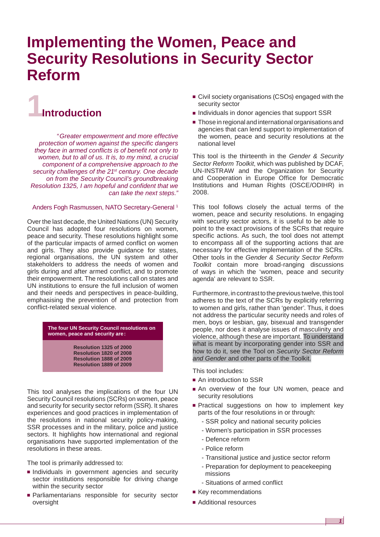# **Implementing the Women, Peace and Security Resolutions in Security Sector Reform**

# **1Introduction**

*" Greater empowerment and more effective protection of women against the specific dangers they face in armed conflicts is of benefit not only to women, but to all of us. It is, to my mind, a crucial component of a comprehensive approach to the security challenges of the 21st century. One decade on from the Security Council's groundbreaking Resolution 1325, I am hopeful and confident that we can take the next steps."*

#### Anders Fogh Rasmussen, NATO Secretary-General 1

Over the last decade, the United Nations (UN) Security Council has adopted four resolutions on women, peace and security. These resolutions highlight some of the particular impacts of armed conflict on women and girls. They also provide guidance for states, regional organisations, the UN system and other stakeholders to address the needs of women and girls during and after armed conflict, and to promote their empowerment. The resolutions call on states and UN institutions to ensure the full inclusion of women and their needs and perspectives in peace-building, emphasising the prevention of and protection from conflict-related sexual violence.

> **The four UN Security Council resolutions on women, peace and security are :**

> > **Resolution 1325 of 2000 Resolution 1820 of 2008 Resolution 1888 of 2009 Resolution 1889 of 2009**

This tool analyses the implications of the four UN Security Council resolutions (SCRs) on women, peace and security for security sector reform (SSR). It shares experiences and good practices in implementation of the resolutions in national security policy-making, SSR processes and in the military, police and justice sectors. It highlights how international and regional organisations have supported implementation of the resolutions in these areas.

The tool is primarily addressed to:

- Individuals in government agencies and security sector institutions responsible for driving change within the security sector
- Parliamentarians responsible for security sector oversight
- Civil society organisations (CSOs) engaged with the security sector
- Individuals in donor agencies that support SSR
- Those in regional and international organisations and agencies that can lend support to implementation of the women, peace and security resolutions at the national level

This tool is the thirteenth in the *Gender & Security Sector Reform Toolkit*, which was published by DCAF, UN-INSTRAW and the Organization for Security and Cooperation in Europe Office for Democratic Institutions and Human Rights (OSCE/ODIHR) in 2008.

This tool follows closely the actual terms of the women, peace and security resolutions. In engaging with security sector actors, it is useful to be able to point to the exact provisions of the SCRs that require specific actions. As such, the tool does not attempt to encompass all of the supporting actions that are necessary for effective implementation of the SCRs. Other tools in the *Gender & Security Sector Reform Toolkit* contain more broad-ranging discussions of ways in which the 'women, peace and security agenda' are relevant to SSR.

Furthermore, in contrast to the previous twelve, this tool adheres to the text of the SCRs by explicitly referring to women and girls, rather than 'gender'. Thus, it does not address the particular security needs and roles of men, boys or lesbian, gay, bisexual and transgender people, nor does it analyse issues of masculinity and violence, although these are important. To understand what is meant by incorporating gender into SSR and how to do it, see the Tool on *[Security Sector Reform](http://www.dcaf.ch/publications/kms/details.cfm?lng=en&id=47331&nav1=5)  [and Gender](http://www.dcaf.ch/publications/kms/details.cfm?lng=en&id=47331&nav1=5)* and other parts of the Toolkit.

This tool includes:

- An introduction to SSR
- An overview of the four UN women, peace and security resolutions
- Practical suggestions on how to implement key parts of the four resolutions in or through:
	- SSR policy and national security policies
	- Women's participation in SSR processes
	- Defence reform
	- Police reform
	- Transitional justice and justice sector reform
	- Preparation for deployment to peacekeeping missions

- Situations of armed conflict
- Key recommendations
- Additional resources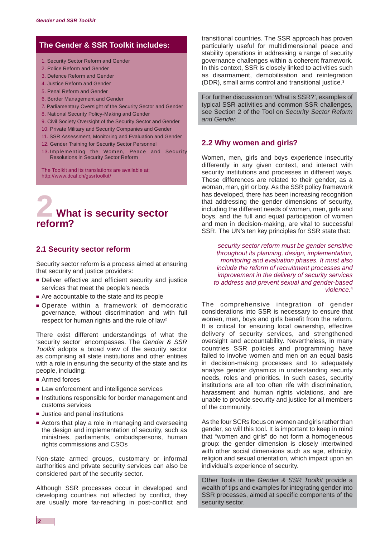## **The [Gender & SSR Toolkit](http://www.dcaf.ch/publications/kms/series_gssr-toolkit.cfm?nav1=5&nav2=6) includes:**

- 1. Security Sector Reform and Gender
- 2. [Police Reform and Gender](http://www.dcaf.ch/publications/kms/details.cfm?lng=en&id=47391&nav1=5)
- 3. [Defence Reform and Gender](http://www.dcaf.ch/publications/kms/details.cfm?lng=en&id=47394&nav1=5)
- 4. [Justice Reform and Gender](http://www.dcaf.ch/publications/kms/details.cfm?lng=en&id=47396&nav1=5)
- 5. [Penal Reform and Gender](http://www.dcaf.ch/publications/kms/details.cfm?lng=en&id=47399&nav1=5)
- 6. [Border Management and Gender](http://www.dcaf.ch/publications/kms/details.cfm?lng=en&id=47401&nav1=5)
- 7. [Parliamentary Oversight of the Security Sector and Gender](http://www.dcaf.ch/publications/kms/details.cfm?lng=en&id=47405&nav1=5)
- 8. [National Security Policy-Making and Gender](http://www.dcaf.ch/publications/kms/details.cfm?lng=en&id=47408&nav1=5)
- 9. [Civil Society Oversight of the Security Sector and Gender](http://www.dcaf.ch/publications/kms/details.cfm?lng=en&id=47411&nav1=5)
- 10. [Private Military and Security Companies and Gender](http://www.dcaf.ch/publications/kms/details.cfm?lng=en&id=47413&nav1=5)
- 11. [SSR Assessment, Monitoring and Evaluation and Gender](http://www.dcaf.ch/publications/kms/details.cfm?lng=en&id=47416&nav1=5)
- 12. [Gender Training for Security Sector Personnel](http://www.dcaf.ch/publications/kms/details.cfm?lng=en&id=47420&nav1=5)
- 13.Implementing the Women, Peace and Security Resolutions in Security Sector Reform

The Toolkit and its translations are available at: [http://www.dcaf.ch/gssrtoolkit/](http://www.dcaf.ch/gssrtoolkit)

# **2 What is security sector reform?**

# **2.1 Security sector reform**

Security sector reform is a process aimed at ensuring that security and justice providers:

- Deliver effective and efficient security and justice services that meet the people's needs
- Are accountable to the state and its people
- Operate within a framework of democratic governance, without discrimination and with full respect for human rights and the rule of law2

There exist different understandings of what the 'security sector' encompasses. The *[Gender & SSR](http://www.dcaf.ch/publications/kms/series_gssr-toolkit.cfm?nav1=5&nav2=6)  [Toolkit](http://www.dcaf.ch/publications/kms/series_gssr-toolkit.cfm?nav1=5&nav2=6)* adopts a broad view of the security sector as comprising all state institutions and other entities with a role in ensuring the security of the state and its people, including: 1. [Security Sector Reform and Gender](http://www.dcaf.ch/publications/kms/details.cfm?lng=en&id=47331&nav1=5)<br>
2. Police Reform and Gender<br>
2. Police Reform and Gender<br>
4. Justice Reform and Gender<br>
4. Justice Reform and Gender<br>
6. Border Management and Gender<br>
6. Border Management and Gender<br>

- Armed forces
- Law enforcement and intelligence services
- Institutions responsible for border management and customs services
- Justice and penal institutions
- Actors that play a role in managing and overseeing the design and implementation of security, such as ministries, parliaments, ombudspersons, human rights commissions and CSOs

Non-state armed groups, customary or informal authorities and private security services can also be considered part of the security sector.

Although SSR processes occur in developed and developing countries not affected by conflict, they are usually more far-reaching in post-conflict and

transitional countries. The SSR approach has proven particularly useful for multidimensional peace and stability operations in addressing a range of security governance challenges within a coherent framework. In this context, SSR is closely linked to activities such as disarmament, demobilisation and reintegration (DDR), small arms control and transitional justice.3

For further discussion on 'What is SSR?', examples of typical SSR activities and common SSR challenges, see Section 2 of the Tool on *[Security Sector Reform](http://www.dcaf.ch/publications/kms/details.cfm?lng=en&id=47331&nav1=5)  [and Gender.](http://www.dcaf.ch/publications/kms/details.cfm?lng=en&id=47331&nav1=5)*

#### **2.2 Why women and girls?**

Women, men, girls and boys experience insecurity differently in any given context, and interact with security institutions and processes in different ways. These differences are related to their gender, as a woman, man, girl or boy. As the SSR policy framework has developed, there has been increasing recognition that addressing the gender dimensions of security, including the different needs of women, men, girls and boys, and the full and equal participation of women and men in decision-making, are vital to successful SSR. The UN's ten key principles for SSR state that:

*security sector reform must be gender sensitive throughout its planning, design, implementation, monitoring and evaluation phases. It must also include the reform of recruitment processes and improvement in the delivery of security services to address and prevent sexual and gender-based violence.*<sup>4</sup>

The comprehensive integration of gender considerations into SSR is necessary to ensure that women, men, boys and girls benefit from the reform. It is critical for ensuring local ownership, effective delivery of security services, and strengthened oversight and accountability. Nevertheless, in many countries SSR policies and programming have failed to involve women and men on an equal basis in decision-making processes and to adequately analyse gender dynamics in understanding security needs, roles and priorities. In such cases, security institutions are all too often rife with discrimination, harassment and human rights violations, and are unable to provide security and justice for all members of the community.

As the four SCRs focus on women and girls rather than gender, so will this tool. It is important to keep in mind that "women and girls" do not form a homogeneous group: the gender dimension is closely intertwined with other social dimensions such as age, ethnicity, religion and sexual orientation, which impact upon an individual's experience of security.

Other Tools in the *[Gender & SSR Toolkit](http://www.dcaf.ch/publications/kms/series_gssr-toolkit.cfm?nav1=5&nav2=6)* provide a wealth of tips and examples for integrating gender into SSR processes, aimed at specific components of the security sector.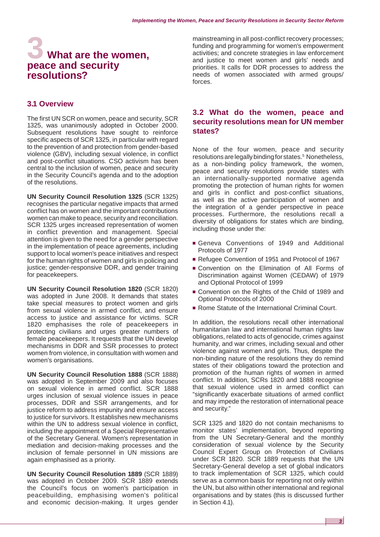# **3 What are the women, peace and security resolutions?**

#### **3.1 Overview**

The first UN SCR on women, peace and security, SCR 1325, was unanimously adopted in October 2000. Subsequent resolutions have sought to reinforce specific aspects of SCR 1325, in particular with regard to the prevention of and protection from gender-based violence (GBV), including sexual violence, in conflict and post-conflict situations. CSO activism has been central to the inclusion of women, peace and security in the Security Council's agenda and to the adoption of the resolutions.

**UN Security Council Resolution 1325** (SCR 1325) recognises the particular negative impacts that armed conflict has on women and the important contributions women can make to peace, security and reconciliation. SCR 1325 urges increased representation of women in conflict prevention and management. Special attention is given to the need for a gender perspective in the implementation of peace agreements, including support to local women's peace initiatives and respect for the human rights of women and girls in policing and justice; gender-responsive DDR, and gender training for peacekeepers.

**UN Security Council Resolution 1820** (SCR 1820) was adopted in June 2008. It demands that states take special measures to protect women and girls from sexual violence in armed conflict, and ensure access to justice and assistance for victims. SCR 1820 emphasises the role of peacekeepers in protecting civilians and urges greater numbers of female peacekeepers. It requests that the UN develop mechanisms in DDR and SSR processes to protect women from violence, in consultation with women and women's organisations.

**UN Security Council Resolution 1888** (SCR 1888) was adopted in September 2009 and also focuses on sexual violence in armed conflict. SCR 1888 urges inclusion of sexual violence issues in peace processes, DDR and SSR arrangements, and for justice reform to address impunity and ensure access to justice for survivors. It establishes new mechanisms within the UN to address sexual violence in conflict, including the appointment of a Special Representative of the Secretary General. Women's representation in mediation and decision-making processes and the inclusion of female personnel in UN missions are again emphasised as a priority.

**UN Security Council Resolution 1889** (SCR 1889) was adopted in October 2009. SCR 1889 extends the Council's focus on women's participation in peacebuilding, emphasising women's political and economic decision-making. It urges gender

mainstreaming in all post-conflict recovery processes; funding and programming for women's empowerment activities; and concrete strategies in law enforcement and justice to meet women and girls' needs and priorities. It calls for DDR processes to address the needs of women associated with armed groups/ forces.

# **3.2 What do the women, peace and security resolutions mean for UN member states?**

None of the four women, peace and security resolutions are legally binding for states.<sup>5</sup> Nonetheless, as a non-binding policy framework, the women, peace and security resolutions provide states with an internationally-supported normative agenda promoting the protection of human rights for women and girls in conflict and post-conflict situations, as well as the active participation of women and the integration of a gender perspective in peace processes. Furthermore, the resolutions recall a diversity of obligations for states which *are* binding, including those under the:

- Geneva Conventions of 1949 and Additional Protocols of 1977
- Refugee Convention of 1951 and Protocol of 1967
- Convention on the Elimination of All Forms of Discrimination against Women (CEDAW) of 1979 and Optional Protocol of 1999
- Convention on the Rights of the Child of 1989 and Optional Protocols of 2000
- Rome Statute of the International Criminal Court.

In addition, the resolutions recall other international humanitarian law and international human rights law obligations, related to acts of genocide, crimes against humanity, and war crimes, including sexual and other violence against women and girls. Thus, despite the non-binding nature of the resolutions they do remind states of their obligations toward the protection and promotion of the human rights of women in armed conflict. In addition, SCRs 1820 and 1888 recognise that sexual violence used in armed conflict can "significantly exacerbate situations of armed conflict and may impede the restoration of international peace and security."

SCR 1325 and 1820 do not contain mechanisms to monitor states' implementation, beyond reporting from the UN Secretary-General and the monthly consideration of sexual violence by the Security Council Expert Group on Protection of Civilians under SCR 1820. SCR 1889 requests that the UN Secretary-General develop a set of global indicators to track implementation of SCR 1325, which could serve as a common basis for reporting not only within the UN, but also within other international and regional organisations and by states (this is discussed further in Section 4.1).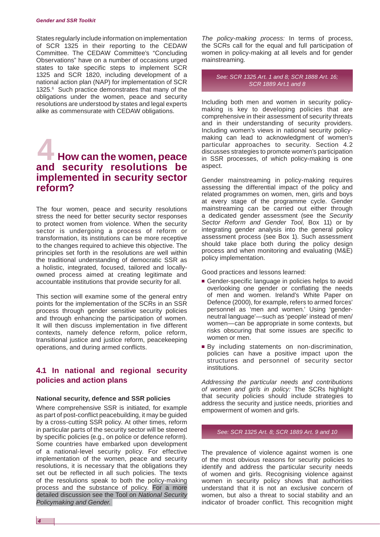#### *Gender and SSR Toolkit*

States regularly include information on implementation of SCR 1325 in their reporting to the CEDAW Committee. The CEDAW Committee's "Concluding Observations" have on a number of occasions urged states to take specific steps to implement SCR 1325 and SCR 1820, including development of a national action plan (NAP) for implementation of SCR 1325.<sup>6</sup> Such practice demonstrates that many of the obligations under the women, peace and security resolutions are understood by states and legal experts alike as commensurate with CEDAW obligations.

# **4 How can the women, peace and security resolutions be implemented in security sector reform?**

The four women, peace and security resolutions stress the need for better security sector responses to protect women from violence. When the security sector is undergoing a process of reform or transformation, its institutions can be more receptive to the changes required to achieve this objective. The principles set forth in the resolutions are well within the traditional understanding of democratic SSR as a holistic, integrated, focused, tailored and locallyowned process aimed at creating legitimate and accountable institutions that provide security for all.

This section will examine some of the general entry points for the implementation of the SCRs in an SSR process through gender sensitive security policies and through enhancing the participation of women. It will then discuss implementation in five different contexts, namely defence reform, police reform, transitional justice and justice reform, peacekeeping operations, and during armed conflicts.

## **4.1 In national and regional security policies and action plans**

#### **National security, defence and SSR policies**

Where comprehensive SSR is initiated, for example as part of post-conflict peacebuilding, it may be guided by a cross-cutting SSR policy. At other times, reform in particular parts of the security sector will be steered by specific policies (e.g., on police or defence reform). Some countries have embarked upon development of a national-level security policy. For effective implementation of the women, peace and security resolutions, it is necessary that the obligations they set out be reflected in all such policies. The texts of the resolutions speak to both the policy-making process and the substance of policy. For a more detailed discussion see the Tool on *[National Security](http://www.dcaf.ch/publications/kms/details.cfm?lng=en&id=47408&nav1=5)  [Policymaking and Gender.](http://www.dcaf.ch/publications/kms/details.cfm?lng=en&id=47408&nav1=5)*

*The policy-making process:* In terms of process, the SCRs call for the equal and full participation of women in policy-making at all levels and for gender mainstreaming.

*See: SCR 1325 Art. 1 and 8; SCR 1888 Art. 16; SCR 1889 Art.1 and 8*

Including both men and women in security policymaking is key to developing policies that are comprehensive in their assessment of security threats and in their understanding of security providers. Including women's views in national security policymaking can lead to acknowledgment of women's particular approaches to security. Section 4.2 discusses strategies to promote women's participation in SSR processes, of which policy-making is one aspect.

Gender mainstreaming in policy-making requires assessing the differential impact of the policy and related programmes on women, men, girls and boys at every stage of the programme cycle. Gender mainstreaming can be carried out either through a dedicated gender assessment (see the *Security Sector Reform and Gender Tool*, Box 11) or by integrating gender analysis into the general policy assessment process (see Box 1). Such assessment should take place both during the policy design process and when monitoring and evaluating (M&E) policy implementation.

Good practices and lessons learned:

- Gender-specific language in policies helps to avoid overlooking one gender or conflating the needs of men and women. Ireland's White Paper on Defence (2000), for example, refers to armed forces' personnel as 'men and women.' Using 'genderneutral language'—such as 'people' instead of men/ women—can be appropriate in some contexts, but risks obscuring that some issues are specific to women or men.
- By including statements on non-discrimination, policies can have a positive impact upon the structures and personnel of security sector institutions.

*Addressing the particular needs and contributions of women and girls in policy:* The SCRs highlight that security policies should include strategies to address the security and justice needs, priorities and empowerment of women and girls.

#### *See: SCR 1325 Art. 8; SCR 1889 Art. 9 and 10*

The prevalence of violence against women is one of the most obvious reasons for security policies to identify and address the particular security needs of women and girls. Recognising violence against women in security policy shows that authorities understand that it is not an exclusive concern of women, but also a threat to social stability and an indicator of broader conflict. This recognition might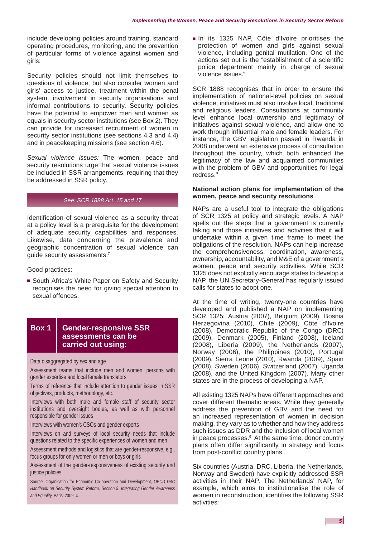include developing policies around training, standard operating procedures, monitoring, and the prevention of particular forms of violence against women and girls.

Security policies should not limit themselves to questions of violence, but also consider women and girls' access to justice, treatment within the penal system, involvement in security organisations and informal contributions to security. Security policies have the potential to empower men and women as equals in security sector institutions (see Box 2). They can provide for increased recruitment of women in security sector institutions (see sections 4.3 and 4.4) and in peacekeeping missions (see section 4.6).

*Sexual violence issues:* The women, peace and security resolutions urge that sexual violence issues be included in SSR arrangements, requiring that they be addressed in SSR policy.

#### *See: SCR 1888 Art. 15 and 17*

Identification of sexual violence as a security threat at a policy level is a prerequisite for the development of adequate security capabilities and responses. Likewise, data concerning the prevalence and geographic concentration of sexual violence can guide security assessments.<sup>7</sup>

Good practices:

■ South Africa's White Paper on Safety and Security recognises the need for giving special attention to sexual offences.

## **Box 1 Gender-responsive SSR assessments can be carried out using:**

#### Data disaggregated by sex and age

Assessment teams that include men and women, persons with gender expertise and local female translators

Terms of reference that include attention to gender issues in SSR objectives, products, methodology, etc.

Interviews with both male and female staff of security sector institutions and oversight bodies, as well as with personnel responsible for gender issues

Interviews with women's CSOs and gender experts

Interviews on and surveys of local security needs that include questions related to the specific experiences of women and men

Assessment methods and logistics that are gender-responsive, e.g., focus groups for only women or men or boys or girls

Assessment of the gender-responsiveness of existing security and justice policies

Source: Organisation for Economic Co-operation and Development, *OECD DAC Handbook on Security System Reform, Section 9: Integrating Gender Awareness and Equality,* Paris: 2009, 4.

■ In its 1325 NAP, Côte d'Ivoire prioritises the protection of women and girls against sexual violence, including genital mutilation. One of the actions set out is the "establishment of a scientific police department mainly in charge of sexual violence issues."

SCR 1888 recognises that in order to ensure the implementation of national-level policies on sexual violence, initiatives must also involve local, traditional and religious leaders. Consultations at community level enhance local ownership and legitimacy of initiatives against sexual violence, and allow one to work through influential male and female leaders. For instance, the GBV legislation passed in Rwanda in 2008 underwent an extensive process of consultation throughout the country, which both enhanced the legitimacy of the law and acquainted communities with the problem of GBV and opportunities for legal redress.<sup>8</sup>

#### **National action plans for implementation of the women, peace and security resolutions**

NAPs are a useful tool to integrate the obligations of SCR 1325 at policy and strategic levels. A NAP spells out the steps that a government is currently taking and those initiatives and activities that it will undertake within a given time frame to meet the obligations of the resolution. NAPs can help increase the comprehensiveness, coordination, awareness, ownership, accountability, and M&E of a government's women, peace and security activities. While SCR 1325 does not explicitly encourage states to develop a NAP, the UN Secretary-General has regularly issued calls for states to adopt one.

At the time of writing, twenty-one countries have developed and published a NAP on implementing SCR 1325: Austria (2007), Belgium (2009), Bosnia Herzegovina (2010), Chile (2009), Côte d'Ivoire (2008), Democratic Republic of the Congo (DRC) (2009), Denmark (2005), Finland (2008), Iceland (2008), Liberia (2009), the Netherlands (2007), Norway (2006), the Philippines (2010), Portugal (2009), Sierra Leone (2010), Rwanda (2009), Spain (2008), Sweden (2006), Switzerland (2007), Uganda (2008), and the United Kingdom (2007). Many other states are in the process of developing a NAP.

All existing 1325 NAPs have different approaches and cover different thematic areas. While they generally address the prevention of GBV and the need for an increased representation of women in decision making, they vary as to whether and how they address such issues as DDR and the inclusion of local women in peace processes.<sup>9</sup> At the same time, donor country plans often differ significantly in strategy and focus from post-conflict country plans.

Six countries (Austria, DRC, Liberia, the Netherlands, Norway and Sweden) have explicitly addressed SSR activities in their NAP. The Netherlands' NAP, for example, which aims to institutionalise the role of women in reconstruction, identifies the following SSR activities: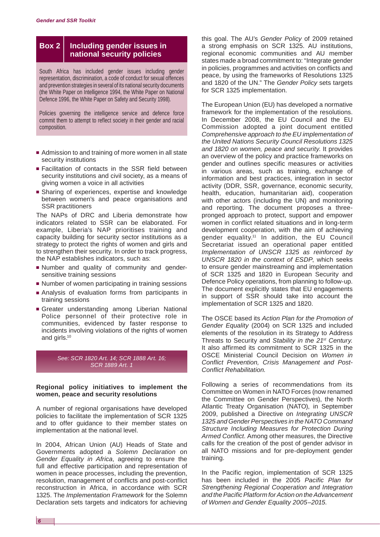## **Box 2 Including gender issues in national security policies**

South Africa has included gender issues including gender representation, discrimination, a code of conduct for sexual offences and prevention strategies in several of its national security documents (the White Paper on Intelligence 1994, the White Paper on National Defence 1996, the White Paper on Safety and Security 1998).

Policies governing the intelligence service and defence force commit them to attempt to reflect society in their gender and racial composition.

- Admission to and training of more women in all state security institutions
- Facilitation of contacts in the SSR field between security institutions and civil society, as a means of giving women a voice in all activities
- Sharing of experiences, expertise and knowledge between women's and peace organisations and SSR practitioners

The NAPs of DRC and Liberia demonstrate how indicators related to SSR can be elaborated. For example, Liberia's NAP prioritises training and capacity building for security sector institutions as a strategy to protect the rights of women and girls and to strengthen their security. In order to track progress, the NAP establishes indicators, such as:

- Number and quality of community and gendersensitive training sessions
- Number of women participating in training sessions
- Analysis of evaluation forms from participants in training sessions
- Greater understanding among Liberian National Police personnel of their protective role in communities, evidenced by faster response to incidents involving violations of the rights of women and girls.10



#### **Regional policy initiatives to implement the women, peace and security resolutions**

A number of regional organisations have developed policies to facilitate the implementation of SCR 1325 and to offer guidance to their member states on implementation at the national level.

In 2004, African Union (AU) Heads of State and Governments adopted a *Solemn Declaration* on *Gender Equality in Africa*, agreeing to ensure the full and effective participation and representation of women in peace processes, including the prevention, resolution, management of conflicts and post-conflict reconstruction in Africa, in accordance with SCR 1325. The *Implementation Framework* for the Solemn Declaration sets targets and indicators for achieving

this goal. The AU's *Gender Policy* of 2009 retained a strong emphasis on SCR 1325. AU institutions, regional economic communities and AU member states made a broad commitment to: "Integrate gender in policies, programmes and activities on conflicts and peace, by using the frameworks of Resolutions 1325 and 1820 of the UN." The *Gender Policy* sets targets for SCR 1325 implementation.

The European Union (EU) has developed a normative framework for the implementation of the resolutions. In December 2008, the EU Council and the EU Commission adopted a joint document entitled *Comprehensive approach to the EU implementation of the United Nations Security Council Resolutions 1325 and 1820 on women, peace and security*. It provides an overview of the policy and practice frameworks on gender and outlines specific measures or activities in various areas, such as training, exchange of information and best practices, integration in sector activity (DDR, SSR, governance, economic security, health, education, humanitarian aid), cooperation with other actors (including the UN) and monitoring and reporting. The document proposes a threepronged approach to protect, support and empower women in conflict related situations and in long-term development cooperation, with the aim of achieving gender equality.11 In addition, the EU Council Secretariat issued an operational paper entitled *Implementation of UNSCR 1325 as reinforced by UNSCR 1820 in the context of ESDP*, which seeks to ensure gender mainstreaming and implementation of SCR 1325 and 1820 in European Security and Defence Policy operations, from planning to follow-up. The document explicitly states that EU engagements in support of SSR should take into account the implementation of SCR 1325 and 1820.

The OSCE based its *Action Plan for the Promotion of Gender Equality* (2004) on SCR 1325 and included elements of the resolution in its Strategy to Address Threats to Security and *Stability in the 21st Century.*  It also affirmed its commitment to SCR 1325 in the OSCE Ministerial Council Decision on *Women in Conflict Prevention, Crisis Management and Post-Conflict Rehabilitation.*

Following a series of recommendations from its Committee on Women in NATO Forces (now renamed the Committee on Gender Perspectives), the North Atlantic Treaty Organisation (NATO), in September 2009, published a Directive on *Integrating UNSCR 1325 and Gender Perspectives in the NATO Command Structure Including Measures for Protection During Armed Conflict*. Among other measures, the Directive calls for the creation of the post of gender advisor in all NATO missions and for pre-deployment gender training.

In the Pacific region, implementation of SCR 1325 has been included in the 2005 *Pacific Plan for Strengthening Regional Cooperation and Integration and the Pacific Platform for Action on the Advancement of Women and Gender Equality 2005–2015.*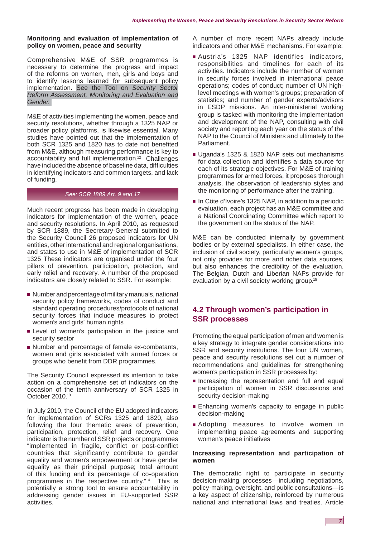#### **Monitoring and evaluation of implementation of policy on women, peace and security**

Comprehensive M&E of SSR programmes is necessary to determine the progress and impact of the reforms on women, men, girls and boys and to identify lessons learned for subsequent policy implementation. See the Tool on *[Security Sector](http://www.dcaf.ch/publications/kms/details.cfm?lng=en&id=47416&nav1=5)  [Reform Assessment, Monitoring and Evaluation and](http://www.dcaf.ch/publications/kms/details.cfm?lng=en&id=47416&nav1=5) [Gender.](http://www.dcaf.ch/publications/kms/details.cfm?lng=en&id=47416&nav1=5)* 

M&E of activities implementing the women, peace and security resolutions, whether through a 1325 NAP or broader policy platforms, is likewise essential. Many studies have pointed out that the implementation of both SCR 1325 and 1820 has to date not benefited from M&E, although measuring performance is key to accountability and full implementation.<sup>12</sup> Challenges have included the absence of baseline data, difficulties in identifying indicators and common targets, and lack of funding.

#### *See: SCR 1889 Art. 9 and 17*

Much recent progress has been made in developing indicators for implementation of the women, peace and security resolutions. In April 2010, as requested by SCR 1889, the Secretary-General submitted to the Security Council 26 proposed indicators for UN entities, other international and regional organisations, and states to use in M&E of implementation of SCR 1325 These indicators are organised under the four pillars of prevention, participation, protection, and early relief and recovery. A number of the proposed indicators are closely related to SSR. For example:

- Number and percentage of military manuals, national security policy frameworks, codes of conduct and standard operating procedures/protocols of national security forces that include measures to protect women's and girls' human rights
- Level of women's participation in the justice and security sector
- Number and percentage of female ex-combatants, women and girls associated with armed forces or groups who benefit from DDR programmes.

The Security Council expressed its intention to take action on a comprehensive set of indicators on the occasion of the tenth anniversary of SCR 1325 in October 2010.13

In July 2010, the Council of the EU adopted indicators for implementation of SCRs 1325 and 1820, also following the four thematic areas of prevention, participation, protection, relief and recovery. One indicator is the number of SSR projects or programmes "implemented in fragile, conflict or post-conflict countries that significantly contribute to gender equality and women's empowerment or have gender equality as their principal purpose; total amount of this funding and its percentage of co-operation programmes in the respective country."14 This is potentially a strong tool to ensure accountability in addressing gender issues in EU-supported SSR activities.

A number of more recent NAPs already include indicators and other M&E mechanisms. For example:

- Austria's 1325 NAP identifies indicators, responsibilities and timelines for each of its activities. Indicators include the number of women in security forces involved in international peace operations; codes of conduct; number of UN highlevel meetings with women's groups; preparation of statistics; and number of gender experts/advisors in ESDP missions. An inter-ministerial working group is tasked with monitoring the implementation and development of the NAP, consulting with civil society and reporting each year on the status of the NAP to the Council of Ministers and ultimately to the Parliament.
- Uganda's 1325 & 1820 NAP sets out mechanisms for data collection and identifies a data source for each of its strategic objectives. For M&E of training programmes for armed forces, it proposes thorough analysis, the observation of leadership styles and the monitoring of performance after the training.
- In Côte d'Ivoire's 1325 NAP, in addition to a periodic evaluation, each project has an M&E committee and a National Coordinating Committee which report to the government on the status of the NAP.

M&E can be conducted internally by government bodies or by external specialists. In either case, the inclusion of civil society, particularly women's groups, not only provides for more and richer data sources, but also enhances the credibility of the evaluation. The Belgian, Dutch and Liberian NAPs provide for evaluation by a civil society working group.15

# **4.2 Through women's participation in SSR processes**

Promoting the equal participation of men and women is a key strategy to integrate gender considerations into SSR and security institutions. The four UN women, peace and security resolutions set out a number of recommendations and guidelines for strengthening women's participation in SSR processes by:

- Increasing the representation and full and equal participation of women in SSR discussions and security decision-making
- Enhancing women's capacity to engage in public decision-making
- Adopting measures to involve women in implementing peace agreements and supporting women's peace initiatives

#### **Increasing representation and participation of women**

The democratic right to participate in security decision-making processes—including negotiations, policy-making, oversight, and public consultations—is a key aspect of citizenship, reinforced by numerous national and international laws and treaties. Article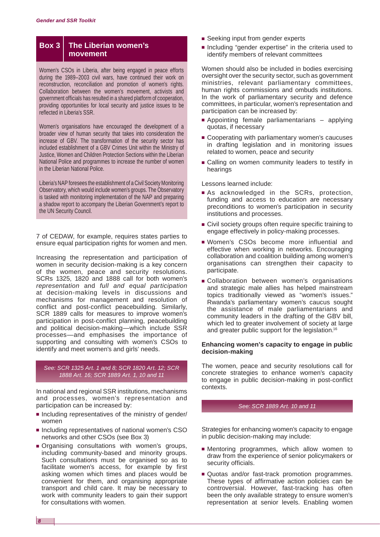### **Box 3 The Liberian women's movement**

Women's CSOs in Liberia, after being engaged in peace efforts during the 1989–2003 civil wars, have continued their work on reconstruction, reconciliation and promotion of women's rights. Collaboration between the women's movement, activists and government officials has resulted in a shared platform of cooperation, providing opportunities for local security and justice issues to be reflected in Liberia's SSR.

Women's organisations have encouraged the development of a broader view of human security that takes into consideration the increase of GBV. The transformation of the security sector has included establishment of a GBV Crimes Unit within the Ministry of Justice, Women and Children Protection Sections within the Liberian National Police and programmes to increase the number of women in the Liberian National Police.

Liberia's NAP foresees the establishment of a Civil Society Monitoring Observatory, which would include women's groups. The Observatory is tasked with monitoring implementation of the NAP and preparing a shadow report to accompany the Liberian Government's report to the UN Security Council.

7 of CEDAW, for example, requires states parties to ensure equal participation rights for women and men.

Increasing the representation and participation of women in security decision-making is a key concern of the women, peace and security resolutions. SCRs 1325, 1820 and 1888 call for both women's *representation* and *full and equal participation*  at decision-making levels in discussions and mechanisms for management and resolution of conflict and post-conflict peacebuilding. Similarly, SCR 1889 calls for measures to improve women's participation in post-conflict planning, peacebuilding and political decision-making—which include SSR processes—and emphasises the importance of supporting and consulting with women's CSOs to identify and meet women's and girls' needs.

#### *See: SCR 1325 Art. 1 and 8; SCR 1820 Art. 12; SCR 1888 Art. 16; SCR 1889 Art. 1, 10 and 11*

In national and regional SSR institutions, mechanisms and processes, women's representation and participation can be increased by:

- Including representatives of the ministry of gender/ women
- Including representatives of national women's CSO networks and other CSOs (see Box 3)
- Organising consultations with women's groups, including community-based and minority groups. Such consultations must be organised so as to facilitate women's access, for example by first asking women which times and places would be convenient for them, and organising appropriate transport and child care. It may be necessary to work with community leaders to gain their support for consultations with women.
- Seeking input from gender experts
- Including "gender expertise" in the criteria used to identify members of relevant committees

Women should also be included in bodies exercising oversight over the security sector, such as government ministries, relevant parliamentary committees, human rights commissions and ombuds institutions. In the work of parliamentary security and defence committees, in particular, women's representation and participation can be increased by:

- Appointing female parliamentarians applying quotas, if necessary
- Cooperating with parliamentary women's caucuses in drafting legislation and in monitoring issues related to women, peace and security
- Calling on women community leaders to testify in hearings

Lessons learned include:

- As acknowledged in the SCRs, protection, funding and access to education are necessary preconditions to women's participation in security institutions and processes.
- Civil society groups often require specific training to engage effectively in policy-making processes.
- Women's CSOs become more influential and effective when working in networks. Encouraging collaboration and coalition building among women's organisations can strengthen their capacity to participate.
- Collaboration between women's organisations and strategic male allies has helped mainstream topics traditionally viewed as "women's issues." Rwanda's parliamentary women's caucus sought the assistance of male parliamentarians and community leaders in the drafting of the GBV bill, which led to greater involvement of society at large and greater public support for the legislation.16

#### **Enhancing women's capacity to engage in public decision-making**

The women, peace and security resolutions call for concrete strategies to enhance women's capacity to engage in public decision-making in post-conflict contexts.

#### *See: SCR 1889 Art. 10 and 11*

Strategies for enhancing women's capacity to engage in public decision-making may include:

- Mentoring programmes, which allow women to draw from the experience of senior policymakers or security officials.
- Quotas and/or fast-track promotion programmes. These types of affirmative action policies can be controversial. However, fast-tracking has often been the only available strategy to ensure women's representation at senior levels. Enabling women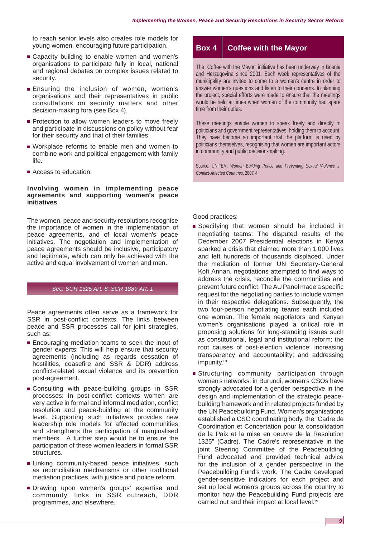to reach senior levels also creates role models for young women, encouraging future participation.

- Capacity building to enable women and women's organisations to participate fully in local, national and regional debates on complex issues related to security.
- Ensuring the inclusion of women, women's organisations and their representatives in public consultations on security matters and other decision-making fora (see Box 4).
- Protection to allow women leaders to move freely and participate in discussions on policy without fear for their security and that of their families.
- Workplace reforms to enable men and women to combine work and political engagement with family life.
- Access to education.

#### **Involving women in implementing peace agreements and supporting women's peace initiatives**

The women, peace and security resolutions recognise the importance of women in the implementation of peace agreements, and of local women's peace initiatives. The negotiation and implementation of peace agreements should be inclusive, participatory and legitimate, which can only be achieved with the active and equal involvement of women and men.

#### *See: SCR 1325 Art. 8; SCR 1889 Art. 1*

Peace agreements often serve as a framework for SSR in post-conflict contexts. The links between peace and SSR processes call for joint strategies, such as:

- Encouraging mediation teams to seek the input of gender experts: This will help ensure that security agreements (including as regards cessation of hostilities, ceasefire and SSR & DDR) address conflict-related sexual violence and its prevention post-agreement.
- Consulting with peace-building groups in SSR processes: In post-conflict contexts women are very active in formal and informal mediation, conflict resolution and peace-building at the community level. Supporting such initiatives provides new leadership role models for affected communities and strengthens the participation of marginalised members. A further step would be to ensure the participation of these women leaders in formal SSR structures.
- Linking community-based peace initiatives, such as reconciliation mechanisms or other traditional mediation practices, with justice and police reform.
- Drawing upon women's groups' expertise and community links in SSR outreach, DDR programmes, and elsewhere.

# **Box 4 Coffee with the Mayor**

The "Coffee with the Mayor" initiative has been underway in Bosnia and Herzegovina since 2001. Each week representatives of the municipality are invited to come to a women's centre in order to answer women's questions and listen to their concerns. In planning the project, special efforts were made to ensure that the meetings would be held at times when women of the community had spare time from their duties.

These meetings enable women to speak freely and directly to politicians and government representatives, holding them to account. They have become so important that the platform is used by politicians themselves, recognising that women are important actors in community and public decision-making.

Source: UNIFEM, *Women Building Peace and Preventing Sexual Violence in Conflict-Affected Countries*, 2007, 4.

#### Good practices:

- Specifying that women should be included in negotiating teams: The disputed results of the December 2007 Presidential elections in Kenya sparked a crisis that claimed more than 1,000 lives and left hundreds of thousands displaced. Under the mediation of former UN Secretary-General Kofi Annan, negotiations attempted to find ways to address the crisis, reconcile the communities and prevent future conflict. The AU Panel made a specific request for the negotiating parties to include women in their respective delegations. Subsequently, the two four-person negotiating teams each included one woman. The female negotiators and Kenyan women's organisations played a critical role in proposing solutions for long-standing issues such as constitutional, legal and institutional reform; the root causes of post-election violence; increasing transparency and accountability; and addressing impunity.<sup>18</sup>
- Structuring community participation through women's networks: in Burundi, women's CSOs have strongly advocated for a gender perspective in the design and implementation of the strategic peacebuilding framework and in related projects funded by the UN Peacebuilding Fund. Women's organisations established a CSO coordinating body, the "Cadre de Coordination et Concertation pour la consolidation de la Paix et la mise en oeuvre de la Resolution 1325" (Cadre). The Cadre's representative in the joint Steering Committee of the Peacebuilding Fund advocated and provided technical advice for the inclusion of a gender perspective in the Peacebuilding Fund's work. The Cadre developed gender-sensitive indicators for each project and set up local women's groups across the country to monitor how the Peacebuilding Fund projects are carried out and their impact at local level.<sup>19</sup>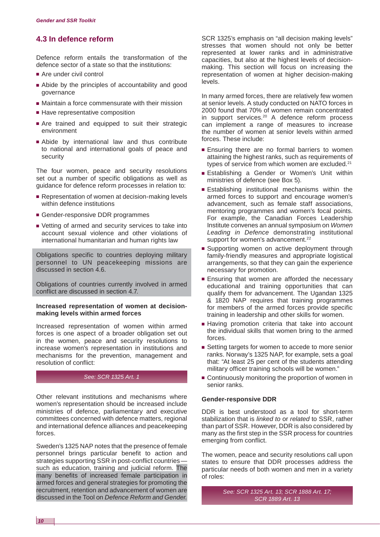# **4.3 In defence reform**

Defence reform entails the transformation of the defence sector of a state so that the institutions:

- Are under civil control
- Abide by the principles of accountability and good governance
- Maintain a force commensurate with their mission
- Have representative composition
- Are trained and equipped to suit their strategic environment
- Abide by international law and thus contribute to national and international goals of peace and security

The four women, peace and security resolutions set out a number of specific obligations as well as guidance for defence reform processes in relation to:

- Representation of women at decision-making levels within defence institutions
- Gender-responsive DDR programmes
- Vetting of armed and security services to take into account sexual violence and other violations of international humanitarian and human rights law

Obligations specific to countries deploying military personnel to UN peacekeeping missions are discussed in section 4.6.

Obligations of countries currently involved in armed conflict are discussed in section 4.7.

#### **Increased representation of women at decisionmaking levels within armed forces**

Increased representation of women within armed forces is one aspect of a broader obligation set out in the women, peace and security resolutions to increase women's representation in institutions and mechanisms for the prevention, management and resolution of conflict:

#### *See: SCR 1325 Art. 1*

Other relevant institutions and mechanisms where women's representation should be increased include ministries of defence, parliamentary and executive committees concerned with defence matters, regional and international defence alliances and peacekeeping forces.

Sweden's 1325 NAP notes that the presence of female personnel brings particular benefit to action and strategies supporting SSR in post-conflict countries such as education, training and judicial reform. The many benefits of increased female participation in armed forces and general strategies for promoting the recruitment, retention and advancement of women are discussed in the Tool on *[Defence Reform and Gender](http://www.dcaf.ch/publications/kms/details.cfm?lng=en&id=47394&nav1=5).*

SCR 1325's emphasis on "all decision making levels" stresses that women should not only be better represented at lower ranks and in administrative capacities, but also at the highest levels of decisionmaking. This section will focus on increasing the representation of women at higher decision-making levels.

In many armed forces, there are relatively few women at senior levels. A study conducted on NATO forces in 2000 found that 70% of women remain concentrated in support services.20 A defence reform process can implement a range of measures to increase the number of women at senior levels within armed forces. These include:

- Ensuring there are no formal barriers to women attaining the highest ranks, such as requirements of types of service from which women are excluded.<sup>21</sup>
- Establishing a Gender or Women's Unit within ministries of defence (see Box 5).
- Establishing institutional mechanisms within the armed forces to support and encourage women's advancement, such as female staff associations, mentoring programmes and women's focal points. For example, the Canadian Forces Leadership Institute convenes an annual symposium on *Women Leading in Defence* demonstrating institutional support for women's advancement.<sup>22</sup>
- Supporting women on active deployment through family-friendly measures and appropriate logistical arrangements, so that they can gain the experience necessary for promotion.
- Ensuring that women are afforded the necessary educational and training opportunities that can qualify them for advancement. The Ugandan 1325 & 1820 NAP requires that training programmes for members of the armed forces provide specific training in leadership and other skills for women.
- Having promotion criteria that take into account the individual skills that women bring to the armed forces.
- Setting targets for women to accede to more senior ranks. Norway's 1325 NAP, for example, sets a goal that: "At least 25 per cent of the students attending military officer training schools will be women."
- Continuously monitoring the proportion of women in senior ranks.

#### **Gender-responsive DDR**

DDR is best understood as a tool for short-term stabilization that is *linked to* or *related* to SSR, rather than part of SSR. However, DDR is also considered by many as the first step in the SSR process for countries emerging from conflict.

The women, peace and security resolutions call upon states to ensure that DDR processes address the particular needs of both women and men in a variety of roles:

> *See: SCR 1325 Art. 13; SCR 1888 Art. 17; SCR 1889 Art. 13*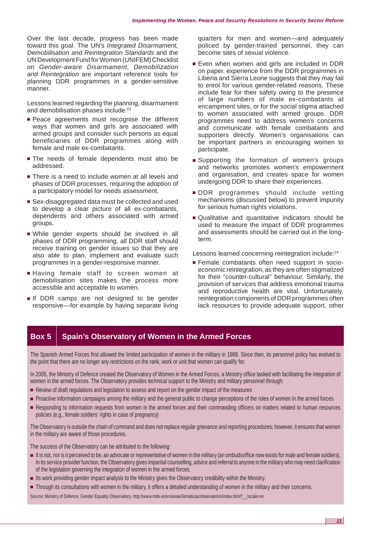Over the last decade, progress has been made toward this goal. The UN's *Integrated Disarmament, Demobilisation and Reintegration Standards* and the UN Development Fund for Women (UNIFEM) Checklist on *Gender-aware Disarmament, Demobilization and Reintegration* are important reference tools for planning DDR programmes in a gender-sensitive manner.

Lessons learned regarding the planning, disarmament and demobilisation phases include:<sup>23</sup>

- Peace agreements must recognise the different ways that women and girls are associated with armed groups and consider such persons as equal beneficiaries of DDR programmes along with female and male ex-combatants.
- The needs of female dependents must also be addressed.
- There is a need to include women at all levels and phases of DDR processes, requiring the adoption of a participatory model for needs assessment.
- Sex-disaggregated data must be collected and used to develop a clear picture of all ex-combatants, dependents and others associated with armed groups.
- While gender experts should be involved in all phases of DDR programming, all DDR staff should receive training on gender issues so that they are also able to plan, implement and evaluate such programmes in a gender-responsive manner.
- Having female staff to screen women at demobilisation sites makes the process more accessible and acceptable to women.
- If DDR camps are not designed to be gender responsive—for example by having separate living

quarters for men and women—and adequately policed by gender-trained personnel, they can become sites of sexual violence.

- Even when women and girls are included in DDR on paper, experience from the DDR programmes in Liberia and Sierra Leone suggests that they may fail to enrol for various gender-related reasons. These include fear for their safety owing to the presence of large numbers of male ex-combatants at encampment sites, or for the social stigma attached to women associated with armed groups. DDR programmes need to address women's concerns and communicate with female combatants and supporters directly. Women's organisations can be important partners in encouraging women to participate.
- Supporting the formation of women's groups and networks promotes women's empowerment and organisation, and creates space for women undergoing DDR to share their experiences.
- DDR programmes should include vetting mechanisms (discussed below) to prevent impunity for serious human rights violations.
- Qualitative and quantitative indicators should be used to measure the impact of DDR programmes and assessments should be carried out in the longterm.

Lessons learned concerning reintegration include:<sup>24</sup>

■ Female combatants often need support in socioeconomic reintegration, as they are often stigmatized for their "counter-cultural" behaviour. Similarly, the provision of services that address emotional trauma and reproductive health are vital. Unfortunately, reintegration components of DDR programmes often lack resources to provide adequate support, other

# **Box 5 | Spain's Observatory of Women in the Armed Forces**

The Spanish Armed Forces first allowed the limited participation of women in the military in 1988. Since then, its personnel policy has evolved to the point that there are no longer any restrictions on the rank, work or unit that women can qualify for.

In 2005, the Ministry of Defence created the Observatory of Women in the Armed Forces, a Ministry office tasked with facilitating the integration of women in the armed forces. The Observatory provides technical support to the Ministry and military personnel through:

- Review of draft regulations and legislation to assess and report on the gender impact of the measures
- Proactive information campaigns among the military and the general public to change perceptions of the roles of women in the armed forces
- Responding to information requests from women in the armed forces and their commanding officers on matters related to human resources policies (e.g., female soldiers' rights in case of pregnancy)

The Observatory is outside the chain of command and does not replace regular grievance and reporting procedures; however, it ensures that women in the military are aware of those procedures.

The success of the Observatory can be attributed to the following:

- It is not, nor is it perceived to be, an advocate or representative of women in the military (an ombudsoffice now exists for male and female soldiers). In its service provider function, the Observatory gives impartial counselling, advice and referral to anyone in the military who may need clarification of the legislation governing the integration of women in the armed forces.
- Its work providing gender impact analysis to the Ministry gives the Observatory credibility within the Ministry.
- Through its consultations with women in the military, it offers a detailed understanding of women in the military and their concerns.

Source: Ministry of Defence, Gender Equality Observatory, http://www.mde.es/en/areasTematicas/observatorio/index.html? locale=en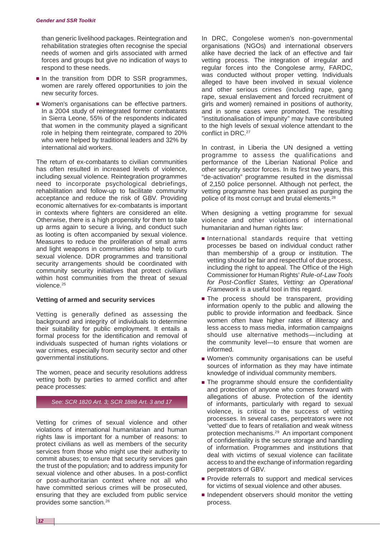than generic livelihood packages. Reintegration and rehabilitation strategies often recognise the special needs of women and girls associated with armed forces and groups but give no indication of ways to respond to these needs.

- In the transition from DDR to SSR programmes, women are rarely offered opportunities to join the new security forces.
- Women's organisations can be effective partners. In a 2004 study of reintegrated former combatants in Sierra Leone, 55% of the respondents indicated that women in the community played a significant role in helping them reintegrate, compared to 20% who were helped by traditional leaders and 32% by international aid workers.

The return of ex-combatants to civilian communities has often resulted in increased levels of violence, including sexual violence. Reintegration programmes need to incorporate psychological debriefings, rehabilitation and follow-up to facilitate community acceptance and reduce the risk of GBV. Providing economic alternatives for ex-combatants is important in contexts where fighters are considered an elite. Otherwise, there is a high propensity for them to take up arms again to secure a living, and conduct such as looting is often accompanied by sexual violence. Measures to reduce the proliferation of small arms and light weapons in communities also help to curb sexual violence. DDR programmes and transitional security arrangements should be coordinated with community security initiatives that protect civilians within host communities from the threat of sexual violence.25

#### **Vetting of armed and security services**

Vetting is generally defined as assessing the background and integrity of individuals to determine their suitability for public employment. It entails a formal process for the identification and removal of individuals suspected of human rights violations or war crimes, especially from security sector and other governmental institutions.

The women, peace and security resolutions address vetting both by parties to armed conflict and after peace processes:

#### *See: SCR 1820 Art. 3; SCR 1888 Art. 3 and 17*

Vetting for crimes of sexual violence and other violations of international humanitarian and human rights law is important for a number of reasons: to protect civilians as well as members of the security services from those who might use their authority to commit abuses; to ensure that security services gain the trust of the population; and to address impunity for sexual violence and other abuses. In a post-conflict or post-authoritarian context where not all who have committed serious crimes will be prosecuted, ensuring that they are excluded from public service provides some sanction.26

In DRC, Congolese women's non-governmental organisations (NGOs) and international observers alike have decried the lack of an effective and fair vetting process. The integration of irregular and regular forces into the Congolese army, FARDC, was conducted without proper vetting. Individuals alleged to have been involved in sexual violence and other serious crimes (including rape, gang rape, sexual enslavement and forced recruitment of girls and women) remained in positions of authority, and in some cases were promoted. The resulting "institutionalisation of impunity" may have contributed to the high levels of sexual violence attendant to the conflict in DRC.<sup>27</sup>

In contrast, in Liberia the UN designed a vetting programme to assess the qualifications and performance of the Liberian National Police and other security sector forces. In its first two years, this "de-activation" programme resulted in the dismissal of 2,150 police personnel. Although not perfect, the vetting programme has been praised as purging the police of its most corrupt and brutal elements.<sup>28</sup>

When designing a vetting programme for sexual violence and other violations of international humanitarian and human rights law:

- International standards require that vetting processes be based on individual conduct rather than membership of a group or institution. The vetting should be fair and respectful of due process, including the right to appeal. The Office of the High Commissioner for Human Rights' *Rule-of-Law Tools for Post-Conflict States, Vetting: an Operational Framework* is a useful tool in this regard.
- The process should be transparent, providing information openly to the public and allowing the public to provide information and feedback. Since women often have higher rates of illiteracy and less access to mass media, information campaigns should use alternative methods—including at the community level—to ensure that women are informed.
- Women's community organisations can be useful sources of information as they may have intimate knowledge of individual community members.
- The programme should ensure the confidentiality and protection of anyone who comes forward with allegations of abuse. Protection of the identity of informants, particularly with regard to sexual violence, is critical to the success of vetting processes. In several cases, perpetrators were not 'vetted' due to fears of retaliation and weak witness protection mechanisms.29 An important component of confidentiality is the secure storage and handling of information. Programmes and institutions that deal with victims of sexual violence can facilitate access to and the exchange of information regarding perpetrators of GBV.
- Provide referrals to support and medical services for victims of sexual violence and other abuses.
- Independent observers should monitor the vetting process.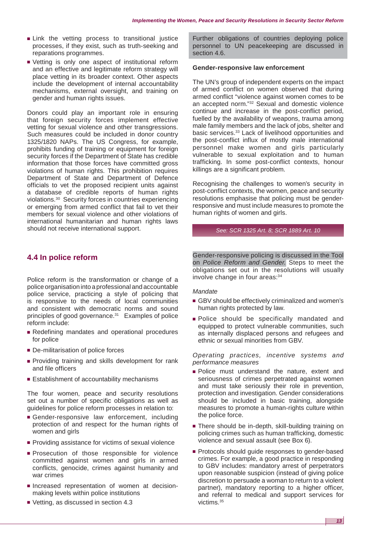- Link the vetting process to transitional justice processes, if they exist, such as truth-seeking and reparations programmes.
- Vetting is only one aspect of institutional reform and an effective and legitimate reform strategy will place vetting in its broader context. Other aspects include the development of internal accountability mechanisms, external oversight, and training on gender and human rights issues.

Donors could play an important role in ensuring that foreign security forces implement effective vetting for sexual violence and other transgressions. Such measures could be included in donor country 1325/1820 NAPs. The US Congress, for example, prohibits funding of training or equipment for foreign security forces if the Department of State has credible information that those forces have committed gross violations of human rights. This prohibition requires Department of State and Department of Defence officials to vet the proposed recipient units against a database of credible reports of human rights violations.30 Security forces in countries experiencing or emerging from armed conflict that fail to vet their members for sexual violence and other violations of international humanitarian and human rights laws should not receive international support.

**4.4 In police reform**

Police reform is the transformation or change of a police organisation into a professional and accountable police service, practicing a style of policing that is responsive to the needs of local communities and consistent with democratic norms and sound principles of good governance.<sup>31</sup> Examples of police reform include:

- Redefining mandates and operational procedures for police
- De-militarisation of police forces
- Providing training and skills development for rank and file officers
- Establishment of accountability mechanisms

The four women, peace and security resolutions set out a number of specific obligations as well as guidelines for police reform processes in relation to:

- Gender-responsive law enforcement, including protection of and respect for the human rights of women and girls
- Providing assistance for victims of sexual violence
- Prosecution of those responsible for violence committed against women and girls in armed conflicts, genocide, crimes against humanity and war crimes
- Increased representation of women at decisionmaking levels within police institutions
- Vetting, as discussed in section 4.3

Further obligations of countries deploying police personnel to UN peacekeeping are discussed in section 4.6.

#### **Gender-responsive law enforcement**

The UN's group of independent experts on the impact of armed conflict on women observed that during armed conflict "violence against women comes to be an accepted norm."32 Sexual and domestic violence continue and increase in the post-conflict period, fuelled by the availability of weapons, trauma among male family members and the lack of jobs, shelter and basic services.<sup>33</sup> Lack of livelihood opportunities and the post-conflict influx of mostly male international personnel make women and girls particularly vulnerable to sexual exploitation and to human trafficking. In some post-conflict contexts, honour killings are a significant problem.

Recognising the challenges to women's security in post-conflict contexts, the women, peace and security resolutions emphasise that policing must be genderresponsive and must include measures to promote the human rights of women and girls.

#### *See: SCR 1325 Art. 8; SCR 1889 Art. 10*

Gender-responsive policing is discussed in the Tool on *[Police Reform and Gender.](http://www.dcaf.ch/publications/kms/details.cfm?lng=en&id=47391&nav1=5)* Steps to meet the obligations set out in the resolutions will usually involve change in four areas: 34

#### *Mandate*

- GBV should be effectively criminalized and women's human rights protected by law.
- Police should be specifically mandated and equipped to protect vulnerable communities, such as internally displaced persons and refugees and ethnic or sexual minorities from GBV.

*Operating practices, incentive systems and performance measures*

- Police must understand the nature, extent and seriousness of crimes perpetrated against women and must take seriously their role in prevention, protection and investigation. Gender considerations should be included in basic training, alongside measures to promote a human-rights culture within the police force.
- There should be in-depth, skill-building training on policing crimes such as human trafficking, domestic violence and sexual assault (see Box 6).
- Protocols should guide responses to gender-based crimes. For example, a good practice in responding to GBV includes: mandatory arrest of perpetrators upon reasonable suspicion (instead of giving police discretion to persuade a woman to return to a violent partner), mandatory reporting to a higher officer, and referral to medical and support services for victims.35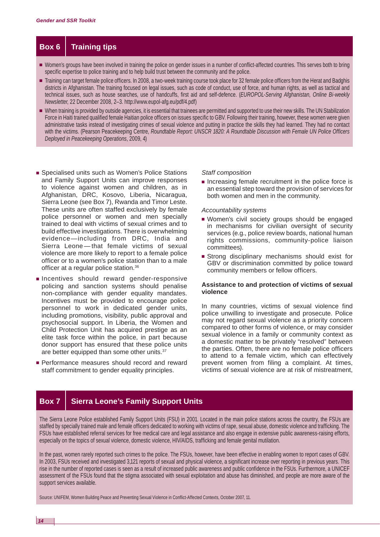# **Box 6 Training tips**

- Women's groups have been involved in training the police on gender issues in a number of conflict-affected countries. This serves both to bring specific expertise to police training and to help build trust between the community and the police.
- Training can target female police officers. In 2008, a two-week training course took place for 32 female police officers from the Herat and Badghis districts in Afghanistan. The training focused on legal issues, such as code of conduct, use of force, and human rights, as well as tactical and technical issues, such as house searches, use of handcuffs, first aid and self-defence. (*EUROPOL-Serving Afghanistan, Online Bi-weekly Newsletter*, 22 December 2008, 2–3. [http://www.eupol-afg.eu/pdf/4.pdf\)](http://www.eupol-afg.eu/pdf/4.pdf)
- When training is provided by outside agencies, it is essential that trainees are permitted and supported to use their new skills. The UN Stabilization Force in Haiti trained qualified female Haitian police officers on issues specific to GBV. Following their training, however, these women were given administrative tasks instead of investigating crimes of sexual violence and putting in practice the skills they had learned. They had no contact with the victims. (Pearson Peacekeeping Centre, *Roundtable Report: UNSCR 1820: A Roundtable Discussion with Female UN Police Officers Deployed in Peacekeeping Operations*, 2009, 4)
- Specialised units such as Women's Police Stations and Family Support Units can improve responses to violence against women and children, as in Afghanistan, DRC, Kosovo, Liberia, Nicaragua, Sierra Leone (see Box 7), Rwanda and Timor Leste. These units are often staffed exclusively by female police personnel or women and men specially trained to deal with victims of sexual crimes and to build effective investigations. There is overwhelming evidence—including from DRC, India and Sierra Leone — that female victims of sexual violence are more likely to report to a female police officer or to a women's police station than to a male officer at a regular police station.<sup>36</sup>
- Incentives should reward gender-responsive policing and sanction systems should penalise non-compliance with gender equality mandates. Incentives must be provided to encourage police personnel to work in dedicated gender units, including promotions, visibility, public approval and psychosocial support. In Liberia, the Women and Child Protection Unit has acquired prestige as an elite task force within the police, in part because donor support has ensured that these police units are better equipped than some other units.<sup>37</sup>
- Performance measures should record and reward staff commitment to gender equality principles.

#### *Staff composition*

■ Increasing female recruitment in the police force is an essential step toward the provision of services for both women and men in the community.

#### *Accountability systems*

- Women's civil society groups should be engaged in mechanisms for civilian oversight of security services (e.g., police review boards, national human rights commissions, community-police liaison committees).
- Strong disciplinary mechanisms should exist for GBV or discrimination committed by police toward community members or fellow officers.

#### **Assistance to and protection of victims of sexual violence**

In many countries, victims of sexual violence find police unwilling to investigate and prosecute. Police may not regard sexual violence as a priority concern compared to other forms of violence, or may consider sexual violence in a family or community context as a domestic matter to be privately "resolved" between the parties. Often, there are no female police officers to attend to a female victim, which can effectively prevent women from filing a complaint. At times, victims of sexual violence are at risk of mistreatment,

# **Box 7 | Sierra Leone's Family Support Units**

The Sierra Leone Police established Family Support Units (FSU) in 2001. Located in the main police stations across the country, the FSUs are staffed by specially trained male and female officers dedicated to working with victims of rape, sexual abuse, domestic violence and trafficking. The FSUs have established referral services for free medical care and legal assistance and also engage in extensive public awareness-raising efforts, especially on the topics of sexual violence, domestic violence, HIV/AIDS, trafficking and female genital mutilation.

In the past, women rarely reported such crimes to the police. The FSUs, however, have been effective in enabling women to report cases of GBV. In 2003, FSUs received and investigated 3,121 reports of sexual and physical violence, a significant increase over reporting in previous years. This rise in the number of reported cases is seen as a result of increased public awareness and public confidence in the FSUs. Furthermore, a UNICEF assessment of the FSUs found that the stigma associated with sexual exploitation and abuse has diminished, and people are more aware of the support services available.

Source: UNIFEM, Women Building Peace and Preventing Sexual Violence in Conflict-Affected Contexts, October 2007, 11.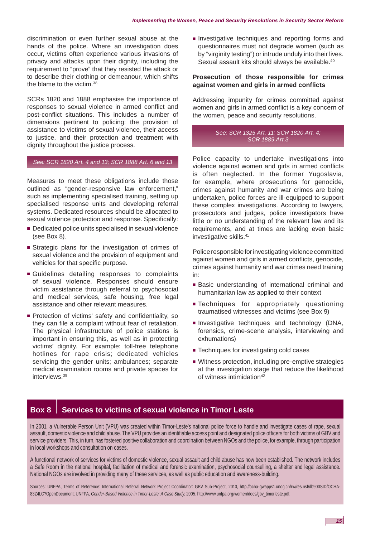discrimination or even further sexual abuse at the hands of the police. Where an investigation does occur, victims often experience various invasions of privacy and attacks upon their dignity, including the requirement to "prove" that they resisted the attack or to describe their clothing or demeanour, which shifts the blame to the victim.38

SCRs 1820 and 1888 emphasise the importance of responses to sexual violence in armed conflict and post-conflict situations. This includes a number of dimensions pertinent to policing: the provision of assistance to victims of sexual violence, their access to justice, and their protection and treatment with dignity throughout the justice process.

#### *See: SCR 1820 Art. 4 and 13; SCR 1888 Art. 6 and 13*

Measures to meet these obligations include those outlined as "gender-responsive law enforcement," such as implementing specialised training, setting up specialised response units and developing referral systems. Dedicated resources should be allocated to sexual violence protection and response. Specifically:

- Dedicated police units specialised in sexual violence (see Box 8).
- Strategic plans for the investigation of crimes of sexual violence and the provision of equipment and vehicles for that specific purpose.
- Guidelines detailing responses to complaints of sexual violence. Responses should ensure victim assistance through referral to psychosocial and medical services, safe housing, free legal assistance and other relevant measures.
- Protection of victims' safety and confidentiality, so they can file a complaint without fear of retaliation. The physical infrastructure of police stations is important in ensuring this, as well as in protecting victims' dignity. For example: toll-free telephone hotlines for rape crisis; dedicated vehicles servicing the gender units; ambulances; separate medical examination rooms and private spaces for interviews.39

■ Investigative techniques and reporting forms and questionnaires must not degrade women (such as by "virginity testing") or intrude unduly into their lives. Sexual assault kits should always be available.<sup>40</sup>

#### **Prosecution of those responsible for crimes against women and girls in armed conflicts**

Addressing impunity for crimes committed against women and girls in armed conflict is a key concern of the women, peace and security resolutions.

#### *See: SCR 1325 Art. 11; SCR 1820 Art. 4; SCR 1889 Art.3*

Police capacity to undertake investigations into violence against women and girls in armed conflicts is often neglected. In the former Yugoslavia, for example, where prosecutions for genocide, crimes against humanity and war crimes are being undertaken, police forces are ill-equipped to support these complex investigations. According to lawyers, prosecutors and judges, police investigators have little or no understanding of the relevant law and its requirements, and at times are lacking even basic investigative skills.<sup>41</sup>

Police responsible for investigating violence committed against women and girls in armed conflicts, genocide, crimes against humanity and war crimes need training in:

- Basic understanding of international criminal and humanitarian law as applied to their context
- Techniques for appropriately questioning traumatised witnesses and victims (see Box 9)
- Investigative techniques and technology (DNA, forensics, crime-scene analysis, interviewing and exhumations)
- Techniques for investigating cold cases
- Witness protection, including pre-emptive strategies at the investigation stage that reduce the likelihood of witness intimidation<sup>42</sup>

# **Box 8** Services to victims of sexual violence in Timor Leste

In 2001, a Vulnerable Person Unit (VPU) was created within Timor-Leste's national police force to handle and investigate cases of rape, sexual assault, domestic violence and child abuse. The VPU provides an identifiable access point and designated police officers for both victims of GBV and service providers. This, in turn, has fostered positive collaboration and coordination between NGOs and the police, for example, through participation in local workshops and consultation on cases.

A functional network of services for victims of domestic violence, sexual assault and child abuse has now been established. The network includes a Safe Room in the national hospital, facilitation of medical and forensic examination, psychosocial counselling, a shelter and legal assistance. National NGOs are involved in providing many of these services, as well as public education and awareness-building.

Sources: UNFPA, Terms of Reference: International Referral Network Project Coordinator: GBV Sub-Project, 2010, [http://ocha-gwapps1.unog.ch/rw/res.nsf/db900SID/OCHA-](http://ocha-gwapps1.unog.ch/rw/res.nsf/db900SID/OCHA-83Z4LC?OpenDocument)[83Z4LC?OpenDocument;](http://ocha-gwapps1.unog.ch/rw/res.nsf/db900SID/OCHA-83Z4LC?OpenDocument) UNFPA, *Gender-Based Violence in Timor-Leste: A Case Study*, 2005. [http://www.unfpa.org/women/docs/gbv\\_timorleste.pdf.](http://www.unfpa.org/women/docs/gbv_timorleste.pdf)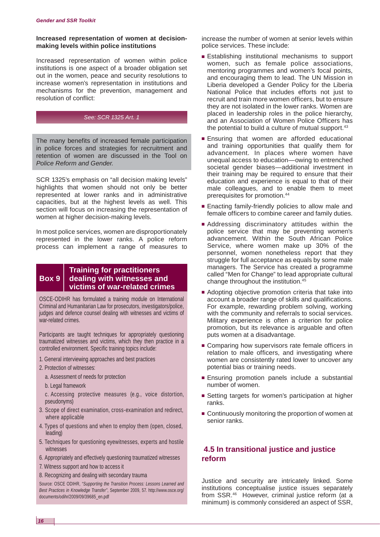#### **Increased representation of women at decisionmaking levels within police institutions**

Increased representation of women within police institutions is one aspect of a broader obligation set out in the women, peace and security resolutions to increase women's representation in institutions and mechanisms for the prevention, management and resolution of conflict:

#### *See: SCR 1325 Art. 1*

The many benefits of increased female participation in police forces and strategies for recruitment and retention of women are discussed in the Tool on *Police [Reform and Gender.](http://www.dcaf.ch/publications/kms/details.cfm?lng=en&id=47391&nav1=5)* 

SCR 1325's emphasis on "all decision making levels" highlights that women should not only be better represented at lower ranks and in administrative capacities, but at the highest levels as well. This section will focus on increasing the representation of women at higher decision-making levels.

In most police services, women are disproportionately represented in the lower ranks. A police reform process can implement a range of measures to

### **Training for practitioners Box 9 dealing with witnesses and victims of war-related crimes**

OSCE-ODIHR has formulated a training module on International Criminal and Humanitarian Law for prosecutors, investigators/police, judges and defence counsel dealing with witnesses and victims of war-related crimes.

Participants are taught techniques for appropriately questioning traumatized witnesses and victims, which they then practice in a controlled environment. Specific training topics include:

- 1. General interviewing approaches and best practices
- 2. Protection of witnesses:
- a. Assessment of needs for protection
- b. Legal framework

 c. Accessing protective measures (e.g., voice distortion, pseudonyms)

- 3. Scope of direct examination, cross-examination and redirect, where applicable
- 4. Types of questions and when to employ them (open, closed, leading)
- 5. Techniques for questioning eyewitnesses, experts and hostile witnesses
- 6. Appropriately and effectively questioning traumatized witnesses
- 7. Witness support and how to access it
- 8. Recognizing and dealing with secondary trauma

Source: OSCE ODIHR, *"Supporting the Transition Process: Lessons Learned and Best Practices in Knowledge Transfer"*, September 2009, 57. [http://www.osce.org/](http://www.osce.org) documents/odihr/2009/09/39685\_en.pdf

increase the number of women at senior levels within police services. These include:

- Establishing institutional mechanisms to support women, such as female police associations, mentoring programmes and women's focal points, and encouraging them to lead. The UN Mission in Liberia developed a Gender Policy for the Liberia National Police that includes efforts not just to recruit and train more women officers, but to ensure they are not isolated in the lower ranks. Women are placed in leadership roles in the police hierarchy, and an Association of Women Police Officers has the potential to build a culture of mutual support.<sup>43</sup>
- Ensuring that women are afforded educational and training opportunities that qualify them for advancement. In places where women have unequal access to education—owing to entrenched societal gender biases—additional investment in their training may be required to ensure that their education and experience is equal to that of their male colleagues, and to enable them to meet prerequisites for promotion.44
- Enacting family-friendly policies to allow male and female officers to combine career and family duties.
- Addressing discriminatory attitudes within the police service that may be preventing women's advancement. Within the South African Police Service, where women make up 30% of the personnel, women nonetheless report that they struggle for full acceptance as equals by some male managers. The Service has created a programme called "Men for Change" to lead appropriate cultural change throughout the institution.45
- Adopting objective promotion criteria that take into account a broader range of skills and qualifications. For example, rewarding problem solving, working with the community and referrals to social services. Military experience is often a criterion for police promotion, but its relevance is arguable and often puts women at a disadvantage.
- Comparing how supervisors rate female officers in relation to male officers, and investigating where women are consistently rated lower to uncover any potential bias or training needs.
- Ensuring promotion panels include a substantial number of women.
- Setting targets for women's participation at higher ranks.
- Continuously monitoring the proportion of women at senior ranks.

# **4.5 In transitional justice and justice reform**

Justice and security are intricately linked. Some institutions conceptualise justice issues separately from SSR.46 However, criminal justice reform (at a minimum) is commonly considered an aspect of SSR,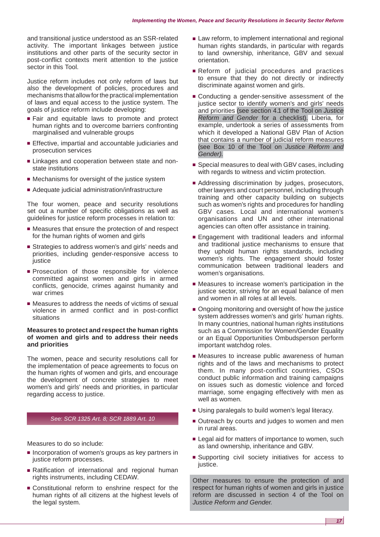and transitional justice understood as an SSR-related activity. The important linkages between justice institutions and other parts of the security sector in post-conflict contexts merit attention to the justice sector in this Tool.

Justice reform includes not only reform of laws but also the development of policies, procedures and mechanisms that allow for the practical implementation of laws and equal access to the justice system. The goals of justice reform include developing:

- Fair and equitable laws to promote and protect human rights and to overcome barriers confronting marginalised and vulnerable groups
- Effective, impartial and accountable judiciaries and prosecution services
- Linkages and cooperation between state and nonstate institutions
- Mechanisms for oversight of the justice system
- Adequate judicial administration/infrastructure

The four women, peace and security resolutions set out a number of specific obligations as well as guidelines for justice reform processes in relation to:

- Measures that ensure the protection of and respect for the human rights of women and girls
- Strategies to address women's and girls' needs and priorities, including gender-responsive access to justice
- Prosecution of those responsible for violence committed against women and girls in armed conflicts, genocide, crimes against humanity and war crimes
- Measures to address the needs of victims of sexual violence in armed conflict and in post-conflict situations

#### **Measures to protect and respect the human rights of women and girls and to address their needs and priorities**

The women, peace and security resolutions call for the implementation of peace agreements to focus on the human rights of women and girls, and encourage the development of concrete strategies to meet women's and girls' needs and priorities, in particular regarding access to justice.

#### *See: SCR 1325 Art. 8; SCR 1889 Art. 10*

Measures to do so include:

- Incorporation of women's groups as key partners in justice reform processes.
- Ratification of international and regional human rights instruments, including CEDAW.
- Constitutional reform to enshrine respect for the human rights of all citizens at the highest levels of the legal system.
- Law reform, to implement international and regional human rights standards, in particular with regards to land ownership, inheritance, GBV and sexual orientation.
- Reform of judicial procedures and practices to ensure that they do not directly or indirectly discriminate against women and girls.
- Conducting a gender-sensitive assessment of the justice sector to identify women's and girls' needs and priorities (see section 4.1 of the Tool on *[Justice](http://www.dcaf.ch/publications/kms/details.cfm?lng=en&id=47396&nav1=5)  [Reform and Gender](http://www.dcaf.ch/publications/kms/details.cfm?lng=en&id=47396&nav1=5)* for a checklist). Liberia, for example, undertook a series of assessments from which it developed a National GBV Plan of Action that contains a number of judicial reform measures (see Box 10 of the Tool on *[Justice Reform and](http://www.dcaf.ch/publications/kms/details.cfm?lng=en&id=47396&nav1=5)  [Gender\)](http://www.dcaf.ch/publications/kms/details.cfm?lng=en&id=47396&nav1=5)*.
- Special measures to deal with GBV cases, including with regards to witness and victim protection.
- Addressing discrimination by judges, prosecutors, other lawyers and court personnel, including through training and other capacity building on subjects such as women's rights and procedures for handling GBV cases. Local and international women's organisations and UN and other international agencies can often offer assistance in training.
- Engagement with traditional leaders and informal and traditional justice mechanisms to ensure that they uphold human rights standards, including women's rights. The engagement should foster communication between traditional leaders and women's organisations.
- Measures to increase women's participation in the justice sector, striving for an equal balance of men and women in all roles at all levels.
- Ongoing monitoring and oversight of how the justice system addresses women's and girls' human rights. In many countries, national human rights institutions such as a Commission for Women/Gender Equality or an Equal Opportunities Ombudsperson perform important watchdog roles.
- Measures to increase public awareness of human rights and of the laws and mechanisms to protect them. In many post-conflict countries, CSOs conduct public information and training campaigns on issues such as domestic violence and forced marriage, some engaging effectively with men as well as women.
- Using paralegals to build women's legal literacy.
- Outreach by courts and judges to women and men in rural areas.
- Legal aid for matters of importance to women, such as land ownership, inheritance and GBV.
- Supporting civil society initiatives for access to justice.

Other measures to ensure the protection of and respect for human rights of women and girls in justice reform are discussed in section 4 of the Tool on *[Justice Reform and Gender.](http://www.dcaf.ch/publications/kms/details.cfm?lng=en&id=47396&nav1=5)*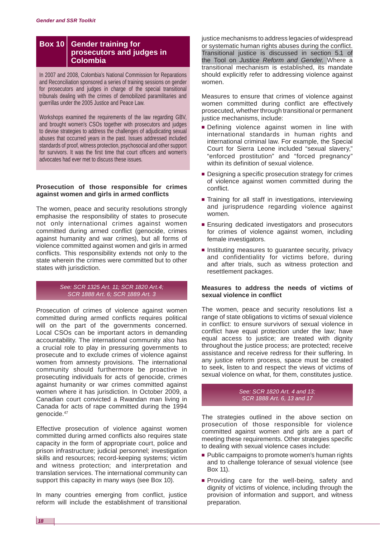### **Box 10 Gender training for prosecutors and judges in Colombia**

In 2007 and 2008, Colombia's National Commission for Reparations and Reconciliation sponsored a series of training sessions on gender for prosecutors and judges in charge of the special transitional tribunals dealing with the crimes of demobilized paramilitaries and guerrillas under the 2005 Justice and Peace Law.

Workshops examined the requirements of the law regarding GBV, and brought women's CSOs together with prosecutors and judges to devise strategies to address the challenges of adjudicating sexual abuses that occurred years in the past. Issues addressed included standards of proof, witness protection, psychosocial and other support for survivors. It was the first time that court officers and women's advocates had ever met to discuss these issues.

#### **Prosecution of those responsible for crimes against women and girls in armed conflicts**

The women, peace and security resolutions strongly emphasise the responsibility of states to prosecute not only international crimes against women committed during armed conflict (genocide, crimes against humanity and war crimes), but all forms of violence committed against women and girls in armed conflicts. This responsibility extends not only to the state wherein the crimes were committed but to other states with jurisdiction.

#### *See: SCR 1325 Art. 11; SCR 1820 Art.4; SCR 1888 Art. 6; SCR 1889 Art. 3*

Prosecution of crimes of violence against women committed during armed conflicts requires political will on the part of the governments concerned. Local CSOs can be important actors in demanding accountability. The international community also has a crucial role to play in pressuring governments to prosecute and to exclude crimes of violence against women from amnesty provisions. The international community should furthermore be proactive in prosecuting individuals for acts of genocide, crimes against humanity or war crimes committed against women where it has jurisdiction. In October 2009, a Canadian court convicted a Rwandan man living in Canada for acts of rape committed during the 1994 genocide.47

Effective prosecution of violence against women committed during armed conflicts also requires state capacity in the form of appropriate court, police and prison infrastructure; judicial personnel; investigation skills and resources; record-keeping systems; victim and witness protection; and interpretation and translation services. The international community can support this capacity in many ways (see Box 10).

In many countries emerging from conflict, justice reform will include the establishment of transitional justice mechanisms to address legacies of widespread or systematic human rights abuses during the conflict. Transitional justice is discussed in section 5.1 of the Tool on *[Justice Reform and Gender.](http://www.dcaf.ch/publications/kms/details.cfm?lng=en&id=47396&nav1=5)* Where a transitional mechanism is established, its mandate should explicitly refer to addressing violence against women.

Measures to ensure that crimes of violence against women committed during conflict are effectively prosecuted, whether through transitional or permanent justice mechanisms, include:

- Defining violence against women in line with international standards in human rights and international criminal law. For example, the Special Court for Sierra Leone included "sexual slavery," "enforced prostitution" and "forced pregnancy" within its definition of sexual violence.
- Designing a specific prosecution strategy for crimes of violence against women committed during the conflict.
- Training for all staff in investigations, interviewing and jurisprudence regarding violence against women.
- Ensuring dedicated investigators and prosecutors for crimes of violence against women, including female investigators.
- Instituting measures to guarantee security, privacy and confidentiality for victims before, during and after trials, such as witness protection and resettlement packages.

#### **Measures to address the needs of victims of sexual violence in conflict**

The women, peace and security resolutions list a range of state obligations to victims of sexual violence in conflict: to ensure survivors of sexual violence in conflict have equal protection under the law; have equal access to justice; are treated with dignity throughout the justice process; are protected; receive assistance and receive redress for their suffering. In any justice reform process, space must be created to seek, listen to and respect the views of victims of sexual violence on what, for them, constitutes justice.

> *See: SCR 1820 Art. 4 and 13; SCR 1888 Art. 6, 13 and 17*

The strategies outlined in the above section on prosecution of those responsible for violence committed against women and girls are a part of meeting these requirements. Other strategies specific to dealing with sexual violence cases include:

- Public campaigns to promote women's human rights and to challenge tolerance of sexual violence (see Box 11).
- Providing care for the well-being, safety and dignity of victims of violence, including through the provision of information and support, and witness preparation.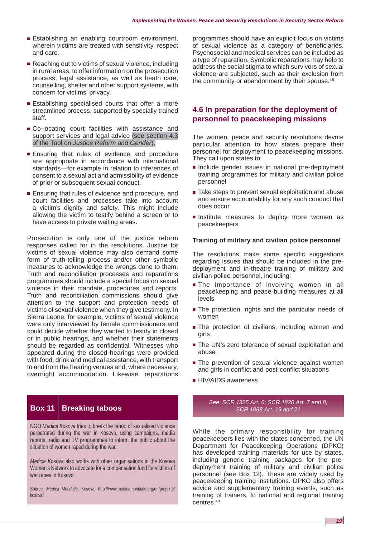- Establishing an enabling courtroom environment, wherein victims are treated with sensitivity, respect and care.
- Reaching out to victims of sexual violence, including in rural areas, to offer information on the prosecution process, legal assistance, as well as heath care, counselling, shelter and other support systems, with concern for victims' privacy.
- Establishing specialised courts that offer a more streamlined process, supported by specially trained staff.
- Co-locating court facilities with assistance and support services and legal advice (see section 4.3 of the Tool on *[Justice Reform and Gender](http://www.dcaf.ch/publications/kms/details.cfm?lng=en&id=47396&nav1=5)*).
- Ensuring that rules of evidence and procedure are appropriate in accordance with international standards—for example in relation to inferences of consent to a sexual act and admissibility of evidence of prior or subsequent sexual conduct.
- Ensuring that rules of evidence and procedure, and court facilities and processes take into account a victim's dignity and safety. This might include allowing the victim to testify behind a screen or to have access to private waiting areas.

Prosecution is only one of the justice reform responses called for in the resolutions. Justice for victims of sexual violence may also demand some form of truth-telling process and/or other symbolic measures to acknowledge the wrongs done to them. Truth and reconciliation processes and reparations programmes should include a special focus on sexual violence in their mandate, procedures and reports. Truth and reconciliation commissions should give attention to the support and protection needs of victims of sexual violence when they give testimony. In Sierra Leone, for example, victims of sexual violence were only interviewed by female commissioners and could decide whether they wanted to testify in closed or in public hearings, and whether their statements should be regarded as confidential. Witnesses who appeared during the closed hearings were provided with food, drink and medical assistance, with transport to and from the hearing venues and, where necessary, overnight accommodation. Likewise, reparations

# **Box 11 Breaking taboos**

NGO *Medica Kosova* tries to break the taboo of sexualised violence perpetrated during the war in Kosovo, using campaigns, media reports, radio and TV programmes to inform the public about the situation of women raped during the war.

*Medica Kosova* also works with other organisations in the Kosova Women's Network to advocate for a compensation fund for victims of war rapes in Kosovo.

Source: *Medica Mondiale*, Kosova, [http://www.medicamondiale.org/en/projekte/](http://www.medicamondiale.org/en/projekte) kosova/

programmes should have an explicit focus on victims of sexual violence as a category of beneficiaries. Psychosocial and medical services can be included as a type of reparation. Symbolic reparations may help to address the social stigma to which survivors of sexual violence are subjected, such as their exclusion from the community or abandonment by their spouse.<sup>48</sup>

## **4.6 In preparation for the deployment of personnel to peacekeeping missions**

The women, peace and security resolutions devote particular attention to how states prepare their personnel for deployment to peacekeeping missions. They call upon states to:

- Include gender issues in national pre-deployment training programmes for military and civilian police personnel
- Take steps to prevent sexual exploitation and abuse and ensure accountability for any such conduct that does occur
- Institute measures to deploy more women as peacekeepers

#### **Training of military and civilian police personnel**

The resolutions make some specific suggestions regarding issues that should be included in the predeployment and in-theatre training of military and civilian police personnel, including:

- The importance of involving women in all peacekeeping and peace-building measures at all levels
- The protection, rights and the particular needs of women
- The protection of civilians, including women and girls
- The UN's zero tolerance of sexual exploitation and abuse
- The prevention of sexual violence against women and girls in conflict and post-conflict situations
- HIV/AIDS awareness

*See: SCR 1325 Art. 6; SCR 1820 Art. 7 and 8; SCR 1888 Art. 19 and 21*

While the primary responsibility for training peacekeepers lies with the states concerned, the UN Department for Peacekeeping Operations (DPKO) has developed training materials for use by states, including generic training packages for the predeployment training of military and civilian police personnel (see Box 12). These are widely used by peacekeeping training institutions. DPKO also offers advice and supplementary training events, such as training of trainers, to national and regional training centres.49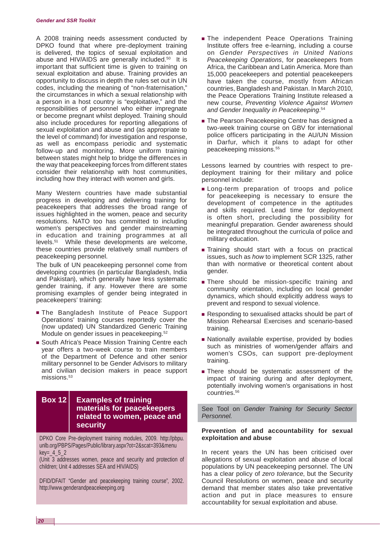A 2008 training needs assessment conducted by DPKO found that where pre-deployment training is delivered, the topics of sexual exploitation and abuse and HIV/AIDS are generally included.50 It is important that sufficient time is given to training on sexual exploitation and abuse. Training provides an opportunity to discuss in depth the rules set out in UN codes, including the meaning of "non-fraternisation," the circumstances in which a sexual relationship with a person in a host country is "exploitative," and the responsibilities of personnel who either impregnate or become pregnant whilst deployed. Training should also include procedures for reporting allegations of sexual exploitation and abuse and (as appropriate to the level of command) for investigation and response, as well as encompass periodic and systematic follow-up and monitoring. More uniform training between states might help to bridge the differences in the way that peacekeeping forces from different states consider their relationship with host communities, including how they interact with women and girls.

Many Western countries have made substantial progress in developing and delivering training for peacekeepers that addresses the broad range of issues highlighted in the women, peace and security resolutions. NATO too has committed to including women's perspectives and gender mainstreaming in education and training programmes at all levels.51 While these developments are welcome, these countries provide relatively small numbers of peacekeeping personnel.

The bulk of UN peacekeeping personnel come from developing countries (in particular Bangladesh, India and Pakistan), which generally have less systematic gender training, if any. However there are some promising examples of gender being integrated in peacekeepers' training:

- The Bangladesh Institute of Peace Support Operations' training courses reportedly cover the (now updated) UN Standardized Generic Training Module on gender issues in peacekeeping.<sup>52</sup>
- South Africa's Peace Mission Training Centre each year offers a two-week course to train members of the Department of Defence and other senior military personnel to be Gender Advisors to military and civilian decision makers in peace support missions.<sup>53</sup>

### **Box 12 Examples of training materials for peacekeepers related to women, peace and security**

DPKO Core Pre-deployment training modules, 2009. [http://pbpu.](http://pbpu) unlb.org/PBPS/Pages/Public/library.aspx?ot=2&scat=393&menu  $key = 4 5 2$ 

(Unit 3 addresses women, peace and security and protection of children; Unit 4 addresses SEA and HIV/AIDS)

DFID/DFAIT "Gender and peacekeeping training course", 2002. <http://www.genderandpeacekeeping.org>

- The independent Peace Operations Training Institute offers free e-learning, including a course on *Gender Perspectives in United Nations Peacekeeping Operations*, for peacekeepers from Africa, the Caribbean and Latin America. More than 15,000 peacekeepers and potential peacekeepers have taken the course, mostly from African countries, Bangladesh and Pakistan. In March 2010, the Peace Operations Training Institute released a new course, *Preventing Violence Against Women and Gender Inequality in Peacekeeping*. 54
- The Pearson Peacekeeping Centre has designed a two-week training course on GBV for international police officers participating in the AU/UN Mission in Darfur, which it plans to adapt for other peacekeeping missions.<sup>55</sup>

Lessons learned by countries with respect to predeployment training for their military and police personnel include:

- Long-term preparation of troops and police for peacekeeping is necessary to ensure the development of competence in the aptitudes and skills required. Lead time for deployment is often short, precluding the possibility for meaningful preparation. Gender awareness should be integrated throughout the curricula of police and military education.
- Training should start with a focus on practical issues, such as *how* to implement SCR 1325, rather than with normative or theoretical content about gender.
- There should be mission-specific training and community orientation, including on local gender dynamics, which should explicitly address ways to prevent and respond to sexual violence.
- Responding to sexualised attacks should be part of Mission Rehearsal Exercises and scenario-based training.
- Nationally available expertise, provided by bodies such as ministries of women/gender affairs and women's CSOs, can support pre-deployment training.
- There should be systematic assessment of the impact of training during and after deployment, potentially involving women's organisations in host countries.56

See Tool on *[Gender Training for Security Sector](http://www.dcaf.ch/publications/kms/details.cfm?lng=en&id=47420&nav1=5)  [Personnel.](http://www.dcaf.ch/publications/kms/details.cfm?lng=en&id=47420&nav1=5)*

#### **Prevention of and accountability for sexual exploitation and abuse**

In recent years the UN has been criticised over allegations of sexual exploitation and abuse of local populations by UN peacekeeping personnel. The UN has a clear policy of *zero tolerance*, but the Security Council Resolutions on women, peace and security demand that member states also take preventative action and put in place measures to ensure accountability for sexual exploitation and abuse.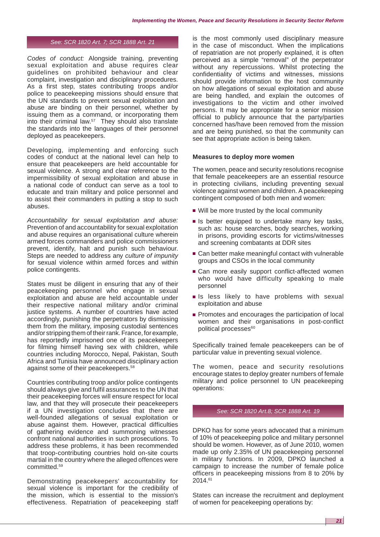#### *See: SCR 1820 Art. 7; SCR 1888 Art. 21*

*Codes of conduct:* Alongside training, preventing sexual exploitation and abuse requires clear guidelines on prohibited behaviour and clear complaint, investigation and disciplinary procedures. As a first step, states contributing troops and/or police to peacekeeping missions should ensure that the UN standards to prevent sexual exploitation and abuse are binding on their personnel, whether by issuing them as a command, or incorporating them into their criminal law.<sup>57</sup> They should also translate the standards into the languages of their personnel deployed as peacekeepers.

Developing, implementing and enforcing such codes of conduct at the national level can help to ensure that peacekeepers are held accountable for sexual violence. A strong and clear reference to the impermissibility of sexual exploitation and abuse in a national code of conduct can serve as a tool to educate and train military and police personnel and to assist their commanders in putting a stop to such abuses.

*Accountability for sexual exploitation and abuse:* Prevention of and accountability for sexual exploitation and abuse requires an organisational culture wherein armed forces commanders and police commissioners prevent, identify, halt and punish such behaviour. Steps are needed to address any *culture of impunity*  for sexual violence within armed forces and within police contingents.

States must be diligent in ensuring that any of their peacekeeping personnel who engage in sexual exploitation and abuse are held accountable under their respective national military and/or criminal justice systems. A number of countries have acted accordingly, punishing the perpetrators by dismissing them from the military, imposing custodial sentences and/or stripping them of their rank. France, for example, has reportedly imprisoned one of its peacekeepers for filming himself having sex with children, while countries including Morocco, Nepal, Pakistan, South Africa and Tunisia have announced disciplinary action against some of their peacekeepers.58

Countries contributing troop and/or police contingents should always give and fulfil assurances to the UN that their peacekeeping forces will ensure respect for local law, and that they will prosecute their peacekeepers if a UN investigation concludes that there are well-founded allegations of sexual exploitation or abuse against them. However, practical difficulties of gathering evidence and summoning witnesses confront national authorities in such prosecutions. To address these problems, it has been recommended that troop-contributing countries hold on-site courts martial in the country where the alleged offences were committed.59

Demonstrating peacekeepers' accountability for sexual violence is important for the credibility of the mission, which is essential to the mission's effectiveness. Repatriation of peacekeeping staff is the most commonly used disciplinary measure in the case of misconduct. When the implications of repatriation are not properly explained, it is often perceived as a simple "removal" of the perpetrator without any repercussions. Whilst protecting the confidentiality of victims and witnesses, missions should provide information to the host community on how allegations of sexual exploitation and abuse are being handled, and explain the outcomes of investigations to the victim and other involved persons. It may be appropriate for a senior mission official to publicly announce that the party/parties concerned has/have been removed from the mission and are being punished, so that the community can see that appropriate action is being taken.

#### **Measures to deploy more women**

The women, peace and security resolutions recognise that female peacekeepers are an essential resource in protecting civilians, including preventing sexual violence against women and children. A peacekeeping contingent composed of both men and women:

- Will be more trusted by the local community
- Is better equipped to undertake many key tasks, such as: house searches, body searches, working in prisons, providing escorts for victims/witnesses and screening combatants at DDR sites
- Can better make meaningful contact with vulnerable groups and CSOs in the local community
- Can more easily support conflict-affected women who would have difficulty speaking to male personnel
- Is less likely to have problems with sexual exploitation and abuse
- Promotes and encourages the participation of local women and their organisations in post-conflict political processes<sup>60</sup>

Specifically trained female peacekeepers can be of particular value in preventing sexual violence.

The women, peace and security resolutions encourage states to deploy greater numbers of female military and police personnel to UN peacekeeping operations:

#### *See: SCR 1820 Art.8; SCR 1888 Art. 19*

DPKO has for some years advocated that a minimum of 10% of peacekeeping police and military personnel should be women. However, as of June 2010, women made up only 2.35% of UN peacekeeping personnel in military functions. In 2009, DPKO launched a campaign to increase the number of female police officers in peacekeeping missions from 8 to 20% by 2014.61

States can increase the recruitment and deployment of women for peacekeeping operations by: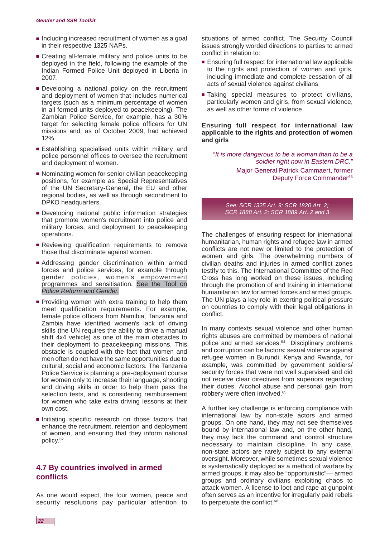- Including increased recruitment of women as a goal in their respective 1325 NAPs.
- Creating all-female military and police units to be deployed in the field, following the example of the Indian Formed Police Unit deployed in Liberia in 2007.
- Developing a national policy on the recruitment and deployment of women that includes numerical targets (such as a minimum percentage of women in all formed units deployed to peacekeeping). The Zambian Police Service, for example, has a 30% target for selecting female police officers for UN missions and, as of October 2009, had achieved 12%.
- Establishing specialised units within military and police personnel offices to oversee the recruitment and deployment of women.
- Nominating women for senior civilian peacekeeping positions, for example as Special Representatives of the UN Secretary-General, the EU and other regional bodies, as well as through secondment to DPKO headquarters.
- Developing national public information strategies that promote women's recruitment into police and military forces, and deployment to peacekeeping operations.
- Reviewing qualification requirements to remove those that discriminate against women.
- Addressing gender discrimination within armed forces and police services, for example through gender policies, women's empowerment programmes and sensitisation. See the Tool on *[Police Reform and Gender.](http://www.dcaf.ch/publications/kms/details.cfm?lng=en&id=47391&nav1=5)*
- Providing women with extra training to help them meet qualification requirements. For example, female police officers from Namibia, Tanzania and Zambia have identified women's lack of driving skills (the UN requires the ability to drive a manual shift 4x4 vehicle) as one of the main obstacles to their deployment to peacekeeping missions. This obstacle is coupled with the fact that women and men often do not have the same opportunities due to cultural, social and economic factors. The Tanzania Police Service is planning a pre-deployment course for women only to increase their language, shooting and driving skills in order to help them pass the selection tests, and is considering reimbursement for women who take extra driving lessons at their own cost.
- Initiating specific research on those factors that enhance the recruitment, retention and deployment of women, and ensuring that they inform national policy.62

# **4.7 By countries involved in armed conflicts**

As one would expect, the four women, peace and security resolutions pay particular attention to situations of armed conflict. The Security Council issues strongly worded directions to parties to armed conflict in relation to:

- Ensuring full respect for international law applicable to the rights and protection of women and girls, including immediate and complete cessation of all acts of sexual violence against civilians
- Taking special measures to protect civilians, particularly women and girls, from sexual violence, as well as other forms of violence

#### **Ensuring full respect for international law applicable to the rights and protection of women and girls**

*"It is more dangerous to be a woman than to be a soldier right now in Eastern DRC."*  Major General Patrick Cammaert, former Deputy Force Commander<sup>63</sup>

*See: SCR 1325 Art. 9; SCR 1820 Art. 2; SCR 1888 Art. 2; SCR 1889 Art. 2 and 3*

The challenges of ensuring respect for international humanitarian, human rights and refugee law in armed conflicts are not new or limited to the protection of women and girls. The overwhelming numbers of civilian deaths and injuries in armed conflict zones testify to this. The International Committee of the Red Cross has long worked on these issues, including through the promotion of and training in international humanitarian law for armed forces and armed groups. The UN plays a key role in exerting political pressure on countries to comply with their legal obligations in conflict.

In many contexts sexual violence and other human rights abuses are committed by members of national police and armed services.<sup>64</sup> Disciplinary problems and corruption can be factors: sexual violence against refugee women in Burundi, Kenya and Rwanda, for example, was committed by government soldiers/ security forces that were not well supervised and did not receive clear directives from superiors regarding their duties. Alcohol abuse and personal gain from robbery were often involved.65

A further key challenge is enforcing compliance with international law by non-state actors and armed groups. On one hand, they may not see themselves bound by international law and, on the other hand, they may lack the command and control structure necessary to maintain discipline. In any case, non-state actors are rarely subject to any external oversight. Moreover, while sometimes sexual violence is systematically deployed as a method of warfare by armed groups, it may also be "opportunistic"— armed groups and ordinary civilians exploiting chaos to attack women. A license to loot and rape at gunpoint often serves as an incentive for irregularly paid rebels to perpetuate the conflict.<sup>66</sup>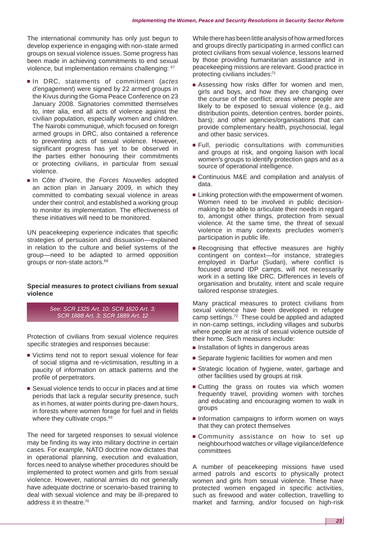The international community has only just begun to develop experience in engaging with non-state armed groups on sexual violence issues. Some progress has been made in achieving commitments to end sexual violence, but implementation remains challenging: 67

- In DRC, statements of commitment (*actes d'engagement*) were signed by 22 armed groups in the Kivus during the Goma Peace Conference on 23 January 2008. Signatories committed themselves to, inter alia, end all acts of violence against the civilian population, especially women and children. The Nairobi communiqué, which focused on foreign armed groups in DRC, also contained a reference to preventing acts of sexual violence. However, significant progress has yet to be observed in the parties either honouring their commitments or protecting civilians, in particular from sexual violence.
- In Côte d'Ivoire, the *Forces Nouvelles* adopted an action plan in January 2009, in which they committed to combating sexual violence in areas under their control, and established a working group to monitor its implementation. The effectiveness of these initiatives will need to be monitored.

UN peacekeeping experience indicates that specific strategies of persuasion and dissuasion—explained in relation to the culture and belief systems of the group—need to be adapted to armed opposition groups or non-state actors.68

#### **Special measures to protect civilians from sexual violence**

*See: SCR 1325 Art. 10; SCR 1820 Art. 3; SCR 1888 Art. 3; SCR 1889 Art. 12*

Protection of civilians from sexual violence requires specific strategies and responses because:

- Victims tend not to report sexual violence for fear of social stigma and re-victimisation, resulting in a paucity of information on attack patterns and the profile of perpetrators.
- Sexual violence tends to occur in places and at time periods that lack a regular security presence, such as in homes, at water points during pre-dawn hours, in forests where women forage for fuel and in fields where they cultivate crops.<sup>69</sup>

The need for targeted responses to sexual violence may be finding its way into military doctrine in certain cases. For example, NATO doctrine now dictates that in operational planning, execution and evaluation, forces need to analyse whether procedures should be implemented to protect women and girls from sexual violence. However, national armies do not generally have adequate doctrine or scenario-based training to deal with sexual violence and may be ill-prepared to address it in theatre.70

While there has been little analysis of how armed forces and groups directly participating in armed conflict can protect civilians from sexual violence, lessons learned by those providing humanitarian assistance and in peacekeeping missions are relevant. Good practice in protecting civilians includes:71

- Assessing how risks differ for women and men, girls and boys, and how they are changing over the course of the conflict; areas where people are likely to be exposed to sexual violence (e.g., aid distribution points, detention centres, border points, bars); and other agencies/organisations that can provide complementary health, psychosocial, legal and other basic services.
- Full, periodic consultations with communities and groups at risk, and ongoing liaison with local women's groups to identify protection gaps and as a source of operational intelligence.
- Continuous M&E and compilation and analysis of data.
- Linking protection with the empowerment of women. Women need to be involved in public decisionmaking to be able to articulate their needs in regard to, amongst other things, protection from sexual violence. At the same time, the threat of sexual violence in many contexts precludes women's participation in public life.
- Recognising that effective measures are highly contingent on context—for instance, strategies employed in Darfur (Sudan), where conflict is focused around IDP camps, will not necessarily work in a setting like DRC. Differences in levels of organisation and brutality, intent and scale require tailored response strategies.

Many practical measures to protect civilians from sexual violence have been developed in refugee camp settings.72 These could be applied and adapted in non-camp settings, including villages and suburbs where people are at risk of sexual violence outside of their home. Such measures include:

- Installation of lights in dangerous areas
- Separate hygienic facilities for women and men
- Strategic location of hygiene, water, garbage and other facilities used by groups at risk
- Cutting the grass on routes via which women frequently travel, providing women with torches and educating and encouraging women to walk in groups
- Information campaigns to inform women on ways that they can protect themselves
- Community assistance on how to set up neighbourhood watches or village vigilance/defence committees

A number of peacekeeping missions have used armed patrols and escorts to physically protect women and girls from sexual violence. These have protected women engaged in specific activities, such as firewood and water collection, travelling to market and farming, and/or focused on high-risk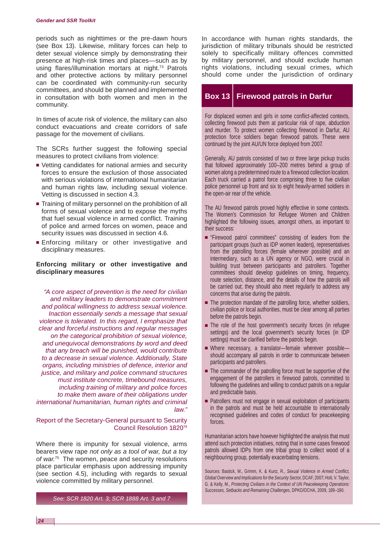periods such as nighttimes or the pre-dawn hours (see Box 13). Likewise, military forces can help to deter sexual violence simply by demonstrating their presence at high-risk times and places—such as by using flares/illumination mortars at night.73 Patrols and other protective actions by military personnel can be coordinated with community-run security committees, and should be planned and implemented in consultation with both women and men in the community.

In times of acute risk of violence, the military can also conduct evacuations and create corridors of safe passage for the movement of civilians.

The SCRs further suggest the following special measures to protect civilians from violence:

- Vetting candidates for national armies and security forces to ensure the exclusion of those associated with serious violations of international humanitarian and human rights law, including sexual violence. Vetting is discussed in section 4.3.
- Training of military personnel on the prohibition of all forms of sexual violence and to expose the myths that fuel sexual violence in armed conflict. Training of police and armed forces on women, peace and security issues was discussed in section 4.6.
- Enforcing military or other investigative and disciplinary measures.

#### **Enforcing military or other investigative and disciplinary measures**

*"A core aspect of prevention is the need for civilian and military leaders to demonstrate commitment and political willingness to address sexual violence. Inaction essentially sends a message that sexual violence is tolerated. In this regard, I emphasize that clear and forceful instructions and regular messages on the categorical prohibition of sexual violence, and unequivocal demonstrations by word and deed that any breach will be punished, would contribute to a decrease in sexual violence. Additionally, State organs, including ministries of defence, interior and justice, and military and police command structures must institute concrete, timebound measures, including training of military and police forces to make them aware of their obligations under international humanitarian, human rights and criminal law."*

#### Report of the Secretary-General pursuant to Security Council Resolution 182074

Where there is impunity for sexual violence, arms bearers view rape *not only as a tool of war, but a toy of war.*75 The women, peace and security resolutions place particular emphasis upon addressing impunity (see section 4.5), including with regards to sexual violence committed by military personnel.

*See: SCR 1820 Art. 3; SCR 1888 Art. 3 and 7*

In accordance with human rights standards, the jurisdiction of military tribunals should be restricted solely to specifically military offences committed by military personnel, and should exclude human rights violations, including sexual crimes, which should come under the jurisdiction of ordinary

# **Box 13 Firewood patrols in Darfur**

For displaced women and girls in some conflict-affected contexts, collecting firewood puts them at particular risk of rape, abduction and murder. To protect women collecting firewood in Darfur, AU protection force soldiers began firewood patrols. These were continued by the joint AU/UN force deployed from 2007.

Generally, AU patrols consisted of two or three large pickup trucks that followed approximately 100–200 metres behind a group of women along a predetermined route to a firewood collection location. Each truck carried a patrol force comprising three to five civilian police personnel up front and six to eight heavily-armed soldiers in the open-air rear of the vehicle.

The AU firewood patrols proved highly effective in some contexts. The Women's Commission for Refugee Women and Children highlighted the following issues, amongst others, as important to their success:

- "Firewood patrol committees" consisting of leaders from the participant groups (such as IDP women leaders), representatives from the patrolling forces (female wherever possible) and an intermediary, such as a UN agency or NGO, were crucial in building trust between participants and patrollers. Together committees should develop guidelines on timing, frequency, route selection, distance, and the details of how the patrols will be carried out; they should also meet regularly to address any concerns that arise during the patrols.
- $\blacksquare$  The protection mandate of the patrolling force, whether soldiers, civilian police or local authorities, must be clear among all parties before the patrols begin.
- The role of the host government's security forces (in refugee settings) and the local government's security forces (in IDP settings) must be clarified before the patrols begin.
- Where necessary, a translator—female wherever possible should accompany all patrols in order to communicate between participants and patrollers.
- The commander of the patrolling force must be supportive of the engagement of the patrollers in firewood patrols, committed to following the guidelines and willing to conduct patrols on a regular and predictable basis.
- Patrollers must not engage in sexual exploitation of participants in the patrols and must be held accountable to internationally recognised guidelines and codes of conduct for peacekeeping forces.

Humanitarian actors have however highlighted the analysis that must attend such protection initiatives, noting that in some cases firewood patrols allowed IDPs from one tribal group to collect wood of a neighbouring group, potentially exacerbating tensions.

Sources: Bastick, M., Grimm, K. & Kunz, R., *Sexual Violence in Armed Conflict, Global Overview and Implications for the Security Sector*, DCAF, 2007; Holt, V. Taylor, G. & Kelly, M., *Protecting Civilians in the Context of UN Peacekeeping Operations: Successes, Setbacks and Remaining Challenges*, DPKO/OCHA, 2009, 189–190.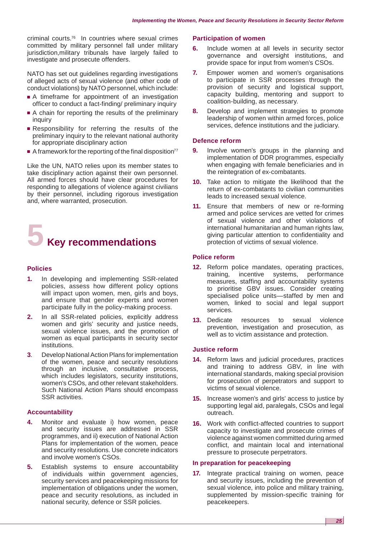criminal courts.76 In countries where sexual crimes committed by military personnel fall under military jurisdiction,military tribunals have largely failed to investigate and prosecute offenders.

NATO has set out quidelines regarding investigations of alleged acts of sexual violence (and other code of conduct violations) by NATO personnel, which include:

- A timeframe for appointment of an investigation officer to conduct a fact-finding/ preliminary inquiry
- A chain for reporting the results of the preliminary inquiry
- Responsibility for referring the results of the preliminary inquiry to the relevant national authority for appropriate disciplinary action
- A framework for the reporting of the final disposition<sup>77</sup>

Like the UN, NATO relies upon its member states to take disciplinary action against their own personnel. All armed forces should have clear procedures for responding to allegations of violence against civilians by their personnel, including rigorous investigation and, where warranted, prosecution.



#### **Policies**

- **1.** In developing and implementing SSR-related policies, assess how different policy options will impact upon women, men, girls and boys, and ensure that gender experts and women participate fully in the policy-making process.
- **2.** In all SSR-related policies, explicitly address women and girls' security and justice needs, sexual violence issues, and the promotion of women as equal participants in security sector institutions.
- **3**. Develop National Action Plans for implementation of the women, peace and security resolutions through an inclusive, consultative process, which includes legislators, security institutions, women's CSOs, and other relevant stakeholders. Such National Action Plans should encompass SSR activities.

#### **Accountability**

- **4.** Monitor and evaluate i) how women, peace and security issues are addressed in SSR programmes, and ii) execution of National Action Plans for implementation of the women, peace and security resolutions. Use concrete indicators and involve women's CSOs.
- **5.** Establish systems to ensure accountability of individuals within government agencies, security services and peacekeeping missions for implementation of obligations under the women, peace and security resolutions, as included in national security, defence or SSR policies.

#### **Participation of women**

- **6.** Include women at all levels in security sector governance and oversight institutions, and provide space for input from women's CSOs.
- **7.** Empower women and women's organisations to participate in SSR processes through the provision of security and logistical support, capacity building, mentoring and support to coalition-building, as necessary.
- **8.** Develop and implement strategies to promote leadership of women within armed forces, police services, defence institutions and the judiciary.

#### **Defence reform**

- **9.** Involve women's groups in the planning and implementation of DDR programmes, especially when engaging with female beneficiaries and in the reintegration of ex-combatants.
- **10.** Take action to mitigate the likelihood that the return of ex-combatants to civilian communities leads to increased sexual violence.
- **11.** Ensure that members of new or re-forming armed and police services are vetted for crimes of sexual violence and other violations of international humanitarian and human rights law, giving particular attention to confidentiality and protection of victims of sexual violence.

#### **Police reform**

- **12.** Reform police mandates, operating practices, training, incentive systems, performance measures, staffing and accountability systems to prioritise GBV issues. Consider creating specialised police units—staffed by men and women, linked to social and legal support services.
- **13.** Dedicate resources to sexual violence prevention, investigation and prosecution, as well as to victim assistance and protection.

#### **Justice reform**

- **14.** Reform laws and judicial procedures, practices and training to address GBV, in line with international standards, making special provision for prosecution of perpetrators and support to victims of sexual violence.
- **15.** Increase women's and girls' access to justice by supporting legal aid, paralegals, CSOs and legal outreach.
- **16.** Work with conflict-affected countries to support capacity to investigate and prosecute crimes of violence against women committed during armed conflict, and maintain local and international pressure to prosecute perpetrators.

#### **In preparation for peacekeeping**

**17.** Integrate practical training on women, peace and security issues, including the prevention of sexual violence, into police and military training, supplemented by mission-specific training for peacekeepers.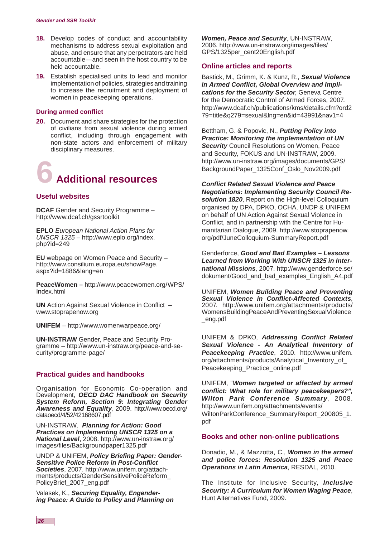- **18.** Develop codes of conduct and accountability mechanisms to address sexual exploitation and abuse, and ensure that any perpetrators are held accountable—and seen in the host country to be held accountable.
- **19.** Establish specialised units to lead and monitor implementation of policies, strategies and training to increase the recruitment and deployment of women in peacekeeping operations.

#### **During armed conflict**

**20.** Document and share strategies for the protection of civilians from sexual violence during armed conflict, including through engagement with non-state actors and enforcement of military disciplinary measures.



#### **Useful websites**

**DCAF** Gender and Security Programme – <http://www.dcaf.ch/gssrtoolkit>

**EPLO** *European National Action Plans for UNSCR 1325* – [http://www.eplo.org/index.](http://www.eplo.org/index) php?id=249

**EU** webpage on Women Peace and Security – [http://www.consilium.europa.eu/showPage.](http://www.consilium.europa.eu/showPage) aspx?id=1886&lang=en

**PeaceWomen –** [http://www.peacewomen.org/WPS/](http://www.peacewomen.org/WPS) Index.html

**UN** Action Against Sexual Violence in Conflict – [www.stoprapenow.org](http://www.stoprapenow.org) 

**UNIFEM** – [http://www.womenwarpeace.org/](http://www.womenwarpeace.org)

**UN-INSTRAW** Gender, Peace and Security Programme – [http://www.un-instraw.org/peace-and-se](http://www.un-instraw.org/peace-and-se-curity/programme-page)curity/[programme-page/](http://www.un-instraw.org/peace-and-se-curity/programme-page)

#### **Practical guides and handbooks**

Organisation for Economic Co-operation and Development, *OECD DAC Handbook on Security System Reform, Section 9: Integrating Gender Awareness and Equality*, 2009. [http://www.oecd.org/](http://www.oecd.org) dataoecd/4/52/42168607.pdf

UN-INSTRAW, *Planning for Action: Good Practices on Implementing UNSCR 1325 on a National Level*, 2008. [http://www.un-instraw.org/](http://www.un-instraw.org) images/files/Backgroundpaper1325.pdf

UNDP & UNIFEM, *Policy Briefing Paper: Gender-Sensitive Police Reform in Post-Conflict Societies*, 2007. [http://www.unifem.org/att](http://www.unifem.org/attach-ments/products/GenderSensitivePoliceReform_)ach[ments/products/GenderSensitivePoliceReform\\_](http://www.unifem.org/attach-ments/products/GenderSensitivePoliceReform_)  PolicyBrief\_2007\_eng.pdf

Valasek, K., *Securing Equality, Engendering Peace: A Guide to Policy and Planning on* 

*Women, Peace and Security*, UN-INSTRAW, 2006. [http://www.un-instraw.org/images/files/](http://www.un-instraw.org/images/files) GPS/1325per\_cent20English.pdf

#### **Online articles and reports**

Bastick, M., Grimm, K. & Kunz, R., *Sexual Violence in Armed Conflict, Global Overview and Implications for the Security Sector*, Geneva Centre for the Democratic Control of Armed Forces, 2007. <http://www.dcaf.ch/publications/kms/details.cfm?ord2> 79=title&q279=sexual&lng=en&id=43991&nav1=4

Bettham, G. & Popovic, N., *Putting Policy into Practice: Monitoring the implementation of UN Security* Council Resolutions on Women, Peace and Security, FOKUS and UN-INSTRAW, 2009. [http://www.un-instraw.org/images/documents/GPS/](http://www.un-instraw.org/images/documents/GPS) BackgroundPaper\_1325Conf\_Oslo\_Nov2009.pdf

*Conflict Related Sexual Violence and Peace Negotiations: Implementing Security Council Resolution 1820*, Report on the High-level Colloquium organised by DPA, DPKO, OCHA, UNDP & UNIFEM on behalf of UN Action Against Sexual Violence in Conflict, and in partnership with the Centre for Humanitarian Dialogue, 2009. [http://www.stoprapenow.](http://www.stoprapenow) org/pdf/JuneColloquium-SummaryReport.pdf

Genderforce, *Good and Bad Examples – Lessons Learned from Working With UNSCR 1325 in International Missions*, 2007. [http://www.genderforce.se/](http://www.genderforce.se) dokument/Good\_and\_bad\_examples\_English\_A4.pdf

UNIFEM, *Women Building Peace and Preventing Sexual Violence in Conflict-Affected Contexts*, 2007. [http://www.unifem.org/attachments/products/](http://www.unifem.org/attachments/products) WomensBuildingPeaceAndPreventingSexualViolence \_eng.pdf

UNIFEM & DPKO, *Addressing Conflict Related Sexual Violence - An Analytical Inventory of Peacekeeping Practice*, 2010. [http://www.unifem.](http://www.unifem) org/attachments/products/Analytical Inventory of Peacekeeping\_Practice\_online.pdf

UNIFEM, "*Women targeted or affected by armed conflict: What role for military peacekeepers?", Wilton Park Conference Summary*, 2008. [http://www.unifem.org/attachments/events/](http://www.unifem.org/attachments/events) WiltonParkConference\_SummaryReport\_200805\_1. pdf

#### **Books and other non-online publications**

Donadio, M., & Mazzotta, C., *Women in the armed and police forces: Resolution 1325 and Peace Operations in Latin America*, RESDAL, 2010.

The Institute for Inclusive Security, *Inclusive Security: A Curriculum for Women Waging Peace*, Hunt Alternatives Fund, 2009.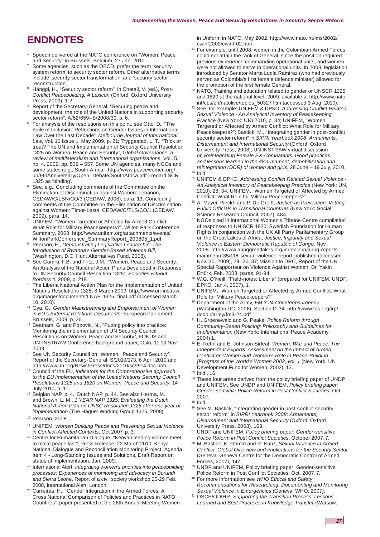# **ENDNOTES**

- 1 Speech delivered at the NATO conference on "Women, Peace and Security" in Brussels, Belgium, 27 Jan. 2010.
- Some agencies, such as the OECD, prefer the term 'security system reform' to security sector reform. Other alternative terms include 'security sector transformation' and 'security sector reconstruction'.
- Hänggi, H., "Security sector reform", in Chetail, V. (ed.), *Post-Conflict Peacebuilding: A Lexicon* (Oxford: Oxford University Press, 2009), 1-2.
- 4 Report of the Secretary-General, "Securing peace and development: the role of the United Nations in supporting security sector reform", A/62/659-S/2008/39, p. 6.
- For analysis of the resolutions on this point, see Otto, D., "The Exile of Inclusion: Reflections on Gender Issues in International Law Over the Last Decade", *Melbourne Journal of International Law*, Vol. 10 Issue 1, May 2009, p. 21; Tryggestad, L. T., "Trick or treat? The UN and Implementation of Security Council Resolution 1325 on Women, Peace and Security", *Global Governance*: *a review of multilateralism and international organizations*, Vol.15, no. 4, 2009, pp. 539 – 557. Some UN agencies, many NGOs and some states (e.g., South Africa - [http://www.peacewomen.org/](http://www.peacewomen.org) un/9thAnniversary/Open\_Debate/SouthAfrica.pdf ) regard SCR
- 1325 as 'binding'.<br>See, e.g., Concluding comments of the Committee on the Elimination of Discrimination against Women: Lebanon, CEDAW/C/LBN/CO/3 (CEDAW, 2008), para. 13, Concluding comments of the Committee on the Elimination of Discrimination against Women: Timor-Leste, CEDAW/C/TLS/CO/1 (CEDAW, 2009), para. 14.
- 7 UNIFEM, "Women Targeted or Affected by Armed Conflict: What Role for Military Peacekeepers?", Wilton Park Conference Summary, 2008. [http://www.unifem.org/attachments/events/](http://www.unifem.org/attachments/events) WiltonParkConference\_SummaryReport\_200805\_1.pdf 8
- Pearson, E., *Demonstrating Legislative Leadership: The Introduction of Rwanda's Gender-Based Violence Bill,* (Washington, D.C: Hunt Alternatives Fund, 2008).
- See Gumru, F.B. and Fritz, J.M., "Women, Peace and Security: An Analysis of the National Action Plans Developed in Response to UN Security Council Resolution 1325", *Societies without*
- *Borders* 4, 2009, p. 218.<br><sup>10</sup> The Liberia National Action Plan for the Implementation of United Nations Resolutions 1325, 8 March 2009. [http://www.un-instraw.](http://www.un-instraw) org/images/documents/LNAP\_1325\_final.pdf (accessed March
- <sup>11</sup> Gya, G., *Gender Mainstreaming and Empowerment of Women in EU's External Relations Document*s: European Parliament,
- Brussels, 2009, p. 26.<br><sup>12</sup> Beetham, G. and Popovic, N., "Putting policy into practice: Monitoring the implementation of UN Security Council Resolutions on Women, Peace and Security", FOKUS and UN-INSTRAW Conference background paper, Oslo, 11-13 Nov. 2009.
- <sup>13</sup> See UN Security Council on "Women, Peace and Security", Report of the Secretary-General, S/2010/173, 6 April 2010.and<br>http://www.un.org/News/Press/docs/2010/sc9914.doc.htm
- <sup>14</sup> [Council of the EU,](http://www.un.org/News/Press/docs/2010/sc9914.doc.htm) Indicators for the Comprehensive approach *to the EU implementation of the United Nations Security Council Resolutions 1325 and 1820 on Women, Peace and Security*, 14
- July 2010, p. 11. 15 Belgian NAP, p. 4., Dutch NAP, p. 44. See also Herma, M. and Brown, L. M., *1 YEAR NAP 1325: Evaluating the Dutch National Action Plan on UNSC Resolution 1325 after one year of implementation* (The Hague: Working Group 1325, 2008).
- 16 Pearson, 2008.
- 17 UNIFEM, *Women Building Peace and Preventing Sexual Violence*
- *in Conflict-Affected Contexts*, Oct 2007, p. 3.<br><sup>18</sup> Centre for Humanitarian Dialogue, "Kenyan leading women meet to make peace last", Press Release, 22 March 2010; Kenya National Dialogue and Reconciliation Monitoring Project, Agenda Item 4 - Long-Standing Issues and Solutions, Draft Report on
- status of implementation, Jan. 2009. 19 International Alert, *Integrating women's priorities into peacebuilding processes: Experiences of monitoring and advocacy in Burundi and Sierra Leone*, Report of a civil society workshop 25-29 Feb.
- Carreiras, H., "Gender Integration in the Armed Forces: A Cross National Comparison of Policies and Practices in NATO Countries", paper presented at the 26th Annual Meeting Women

in Uniform in NATO, May 2002. [http://www.nato.int/ims/2002/](http://www.nato.int/ims/2002)

- cwinf2002/cwinf-02.htm 21 For example, until 2008, women in the Colombian Armed Forces could not attain the rank of General, since the position required previous experience commanding operational units, and women were not allowed to serve in operational units. In 2008, legislation introduced by Senator Marta Lucía Ramírez (who had previously served as Colombia's first female defence minister) allowed for
- the promotion of the first female General.<br><sup>22</sup> NATO, Training and education related to gender or UNSCR 1325 and 1820 at the national level, 2009: available at [http://www.nato.](http://www.nato)
- <sup>23</sup> See, for example: UNIFEM & DPKO, *Addressing Conflict Related Sexual Violence - An Analytical Inventory of Peacekeeping Practice* (New York: UN) 2010, p. 34; UNIFEM, "Women Targeted or Affected by Armed Conflict: What Role for Military Peacekeepers?"; Bastick, M., "Integrating gender in post-conflict security sector reform" in *SIPRI Yearbook 2008*: *Armaments, Disarmament and International Security* (Oxford: Oxford University Press, 2008); UN INSTRAW virtual discussion on *Reintegrating Female EX-Combatants: Good practices and lessons learned in the disarmament, demobilization and reintegration (DDR) of women and girls*, 28 June – 19 July, 2010.<br><sup>24</sup> Ibid. 25 UNIFEM & DPKO, *Addressing Conflict Related Sexual Violence* -
- *An Analytical Inventory of Peacekeeping Practice* (New York: UN,
- 2010), 28, 34; UNIFEM, "Women Targeted or Affected by Armed <sup>26</sup> A. Mayer-Rieckh and P. De Greiff, *Justice as Prevention: Vetting Public Officials in Transitional Countries* (New York: Social
- <sup>27</sup> NGOs cited in International Women's Tribune Centre compilation of responses to UN SCR 1820; Swedish Foundation for Human Rights in conjunction with the UK All Party Parliamentary Group on the Great Lakes of Africa, *Justice, Impunity and Sexual Violence in Eastern Democratic Republic of Congo,* Nov. 2008. [http://www.appggreatlakes.org/index.php/appg-rep](http://www.appggreatlakes.org/index.php/appg-reports-mainmenu-35/116-sexual-violence-report-published)orts[mainmenu-35/116-sexual-violence-report-published \(accessed](http://www.appggreatlakes.org/index.php/appg-reports-mainmenu-35/116-sexual-violence-report-published)  Nov. 30, 2009), 29–30, 37; Mission to DRC, Report of the UN Special Rapporteur on Violence Against Women, Dr. Yakin
- Ertürk, Feb. 2008, paras. 91-94. 28 W.G. O'Neill, "Field-notes: Liberia" (prepared for UNIFEM, UNDP, DPKO, Jan.4, 2007), 1.
- 29 UNIFEM, "Women Targeted or Affected by Armed Conflict: What Role for Military Peacekeepers?
- 30 Department of the Army, *FM 3.24 Counterinsurgency*  (Washington DC, 2006), Section D-34. [http://www.fas.org/irp/](http://www.fas.org/irp) doddir/army/fm3-24.pdf 31 H. Groenewald and G. Peake, *Police Reform through*
- *Community-Based Policing: Philosophy and Guidelines for Implementation* (New York: International Peace Academy, 2004),1. 32 E. Rehn and E. Johnson Sirleaf, *Women, War and Peace: The*
- *Independent Experts' Assessment on the Impact of Armed Conflict on Women and Women's Role in Peace-Building (Progress of the World's Women 2002, vol. 1* (New York: UN Development Fund for Women, 2002), 13.<br><sup>33</sup> Ibid., 16.
- 
- 34 These four areas derived from the policy briefing paper of UNDP and UNIFEM. See UNDP and UNIFEM, *Policy briefing paper: Gender-sensitive Police Reform in Post Conflict Societies*, Oct.
- 2007.<br><sup>35</sup> Ibid.
- 36 See M. Bastick, "Integrating gender in post-conflict security sector reform" in *SIPRI Yearbook 2008*: *Armaments, Disarmament and International Security* (Oxford: Oxford University Press, 2008), 163.
- 37 UNDP and UNIFEM, *Policy briefing paper: Gender-sensitive*
- *Police Reform in Post Conflict Societies*, October 2007, 7. 38 M. Bastick, K. Grimm and R. Kunz, *Sexual Violence in Armed Conflict, Global Overview and Implications for the Security Sector* (Geneva: Geneva Centre for the Democratic Control of Armed
- Forces, 2007), 147.<br><sup>39</sup> UNDP and UNIFEM, Policy briefing paper: Gender-sensitive<br>Police Reform in Post Conflict Societies. Oct. 2007. 7.
- <sup>40</sup> For more information see WHO Ethical and Safety *Recommendations for Researching, Documenting and Monitoring*
- *Sexual Violence in Emergencies* (Geneva: WHO, 2007). 41 OSCE/ODIHR, *Supporting the Transition Process: Lessons Learned and Best Practices in Knowledge Transfer* (Warsaw: